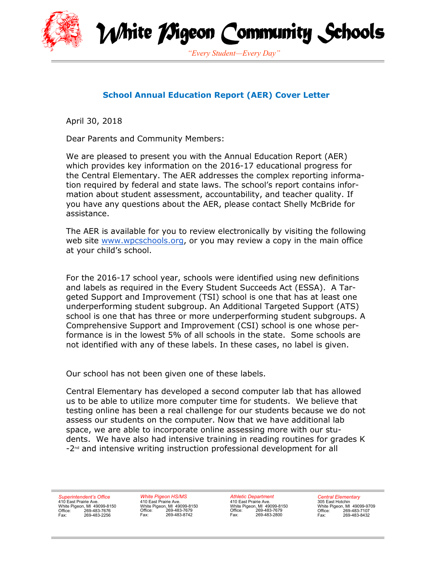



*"Every Student—Every Day"*

### **School Annual Education Report (AER) Cover Letter**

April 30, 2018

Dear Parents and Community Members:

We are pleased to present you with the Annual Education Report (AER) which provides key information on the 2016-17 educational progress for the Central Elementary. The AER addresses the complex reporting information required by federal and state laws. The school's report contains information about student assessment, accountability, and teacher quality. If you have any questions about the AER, please contact Shelly McBride for assistance.

The AER is available for you to review electronically by visiting the following web site www.wpcschools.org, or you may review a copy in the main office at your child's school.

For the 2016-17 school year, schools were identified using new definitions and labels as required in the Every Student Succeeds Act (ESSA). A Targeted Support and Improvement (TSI) school is one that has at least one underperforming student subgroup. An Additional Targeted Support (ATS) school is one that has three or more underperforming student subgroups. A Comprehensive Support and Improvement (CSI) school is one whose performance is in the lowest 5% of all schools in the state. Some schools are not identified with any of these labels. In these cases, no label is given.

Our school has not been given one of these labels.

Central Elementary has developed a second computer lab that has allowed us to be able to utilize more computer time for students. We believe that testing online has been a real challenge for our students because we do not assess our students on the computer. Now that we have additional lab space, we are able to incorporate online assessing more with our students. We have also had intensive training in reading routines for grades K  $-2<sup>nd</sup>$  and intensive writing instruction professional development for all

*Superintendent's Office*  410 East Prairie Ave. White Pigeon, MI 49099-8150 Office: 269-483-7676 Fax: 269-483-2256

*White Pigeon HS/MS*  410 East Prairie Ave. White Pigeon, MI 49099-8150 Office: 269-483-7679 Fax: 269-483-8742

*Athletic Department*  410 East Prairie Ave. White Pigeon, MI 49099-8150 Office: 269-483-7679 Fax: 269-483-2800

*Central Elementary*  305 East Hotchin White Pigeon, MI 49099-9709 Office: 269-483-7107 Fax: 269-483-8432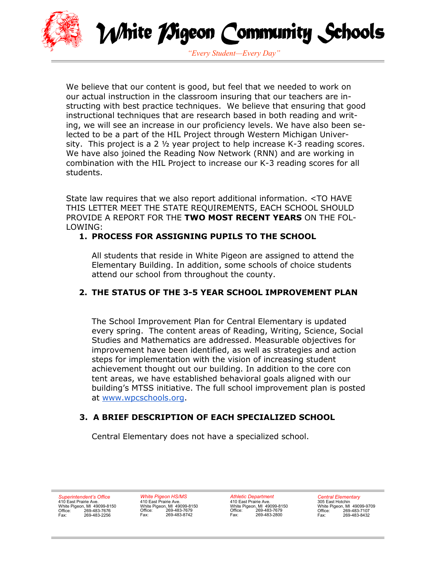



*"Every Student—Every Day"*

We believe that our content is good, but feel that we needed to work on our actual instruction in the classroom insuring that our teachers are instructing with best practice techniques. We believe that ensuring that good instructional techniques that are research based in both reading and writing, we will see an increase in our proficiency levels. We have also been selected to be a part of the HIL Project through Western Michigan University. This project is a 2 ½ year project to help increase K-3 reading scores. We have also joined the Reading Now Network (RNN) and are working in combination with the HIL Project to increase our K-3 reading scores for all students.

State law requires that we also report additional information. <TO HAVE THIS LETTER MEET THE STATE REQUIREMENTS, EACH SCHOOL SHOULD PROVIDE A REPORT FOR THE **TWO MOST RECENT YEARS** ON THE FOL-LOWING:

### **1. PROCESS FOR ASSIGNING PUPILS TO THE SCHOOL**

All students that reside in White Pigeon are assigned to attend the Elementary Building. In addition, some schools of choice students attend our school from throughout the county.

### **2. THE STATUS OF THE 3-5 YEAR SCHOOL IMPROVEMENT PLAN**

 The School Improvement Plan for Central Elementary is updated every spring. The content areas of Reading, Writing, Science, Social Studies and Mathematics are addressed. Measurable objectives for improvement have been identified, as well as strategies and action steps for implementation with the vision of increasing student achievement thought out our building. In addition to the core con tent areas, we have established behavioral goals aligned with our building's MTSS initiative. The full school improvement plan is posted at www.wpcschools.org.

### **3. A BRIEF DESCRIPTION OF EACH SPECIALIZED SCHOOL**

Central Elementary does not have a specialized school.

*Superintendent's Office*  410 East Prairie Ave. White Pigeon, MI 49099-8150 Office: 269-483-7676 Fax: 269-483-2256

*White Pigeon HS/MS*  410 East Prairie Ave. White Pigeon, MI 49099-8150<br>Office: 269-483-7679 Office: 269-483-7679<br>Fax: 269-483-8742 Fax: 269-483-8742

*Athletic Department*  410 East Prairie Ave. White Pigeon, MI 49099-8150 Office: 269-483-7679 Fax: 269-483-2800

*Central Elementary*  305 East Hotchin White Pigeon, MI 49099-9709 Office: 269-483-7107 Fax: 269-483-8432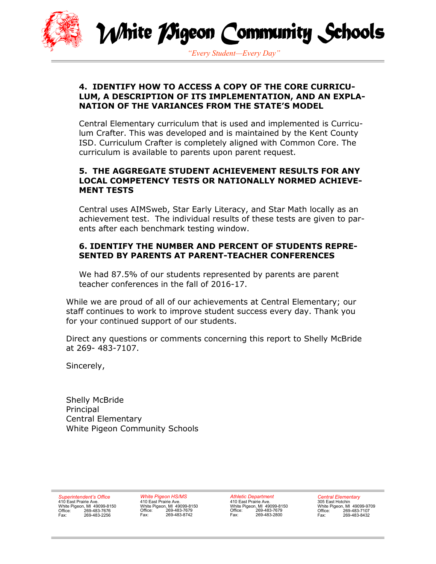

White *M*igeon Community Schools

*"Every Student—Every Day"*

### **4. IDENTIFY HOW TO ACCESS A COPY OF THE CORE CURRICU-LUM, A DESCRIPTION OF ITS IMPLEMENTATION, AND AN EXPLA-NATION OF THE VARIANCES FROM THE STATE'S MODEL**

Central Elementary curriculum that is used and implemented is Curriculum Crafter. This was developed and is maintained by the Kent County ISD. Curriculum Crafter is completely aligned with Common Core. The curriculum is available to parents upon parent request.

### **5. THE AGGREGATE STUDENT ACHIEVEMENT RESULTS FOR ANY LOCAL COMPETENCY TESTS OR NATIONALLY NORMED ACHIEVE-MENT TESTS**

Central uses AIMSweb, Star Early Literacy, and Star Math locally as an achievement test. The individual results of these tests are given to parents after each benchmark testing window.

### **6. IDENTIFY THE NUMBER AND PERCENT OF STUDENTS REPRE-SENTED BY PARENTS AT PARENT-TEACHER CONFERENCES**

We had 87.5% of our students represented by parents are parent teacher conferences in the fall of 2016-17.

While we are proud of all of our achievements at Central Elementary; our staff continues to work to improve student success every day. Thank you for your continued support of our students.

Direct any questions or comments concerning this report to Shelly McBride at 269- 483-7107.

Sincerely,

Shelly McBride **Principal** Central Elementary White Pigeon Community Schools

*Superintendent's Office*  410 East Prairie Ave. White Pigeon, MI 49099-8150 Office: 269-483-7676 Fax: 269-483-2256

*White Pigeon HS/MS*  410 East Prairie Ave. White Pigeon, MI 49099-8150<br>Office: 269-483-7679 Office: 269-483-7679<br>Fax: 269-483-8742 Fax: 269-483-8742

*Athletic Department*  410 East Prairie Ave. White Pigeon, MI 49099-8150 Office: 269-483-7679 Fax: 269-483-2800

*Central Elementary*  305 East Hotchin White Pigeon, MI 49099-9709 Office: 269-483-7107 Fax: 269-483-8432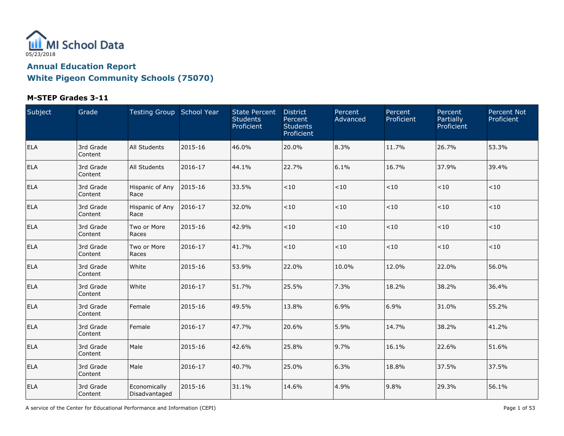

#### **M-STEP Grades 3-11**

| Subject    | Grade                | Testing Group School Year     |         | <b>State Percent</b><br><b>Students</b><br>Proficient | <b>District</b><br>Percent<br><b>Students</b><br>Proficient | Percent<br>Advanced | Percent<br>Proficient | Percent<br>Partially<br>Proficient | <b>Percent Not</b><br>Proficient |
|------------|----------------------|-------------------------------|---------|-------------------------------------------------------|-------------------------------------------------------------|---------------------|-----------------------|------------------------------------|----------------------------------|
| ELA        | 3rd Grade<br>Content | <b>All Students</b>           | 2015-16 | 46.0%                                                 | 20.0%                                                       | 8.3%                | 11.7%                 | 26.7%                              | 53.3%                            |
| ELA        | 3rd Grade<br>Content | All Students                  | 2016-17 | 44.1%                                                 | 22.7%                                                       | 6.1%                | 16.7%                 | 37.9%                              | 39.4%                            |
| <b>ELA</b> | 3rd Grade<br>Content | Hispanic of Any<br>Race       | 2015-16 | 33.5%                                                 | $<10$                                                       | $<\!10$             | ${<}10$               | $<10$                              | < 10                             |
| <b>ELA</b> | 3rd Grade<br>Content | Hispanic of Any<br>Race       | 2016-17 | 32.0%                                                 | $<10$                                                       | $<10$               | $<\!10$               | $<10$                              | $<10$                            |
| <b>ELA</b> | 3rd Grade<br>Content | Two or More<br>Races          | 2015-16 | 42.9%                                                 | $<10$                                                       | $<10$               | $<10$                 | $<10$                              | < 10                             |
| <b>ELA</b> | 3rd Grade<br>Content | Two or More<br>Races          | 2016-17 | 41.7%                                                 | < 10                                                        | $<10$               | < 10                  | $<10$                              | < 10                             |
| <b>ELA</b> | 3rd Grade<br>Content | White                         | 2015-16 | 53.9%                                                 | 22.0%                                                       | 10.0%               | 12.0%                 | 22.0%                              | 56.0%                            |
| <b>ELA</b> | 3rd Grade<br>Content | White                         | 2016-17 | 51.7%                                                 | 25.5%                                                       | 7.3%                | 18.2%                 | 38.2%                              | 36.4%                            |
| ELA        | 3rd Grade<br>Content | Female                        | 2015-16 | 49.5%                                                 | 13.8%                                                       | 6.9%                | 6.9%                  | 31.0%                              | 55.2%                            |
| ELA        | 3rd Grade<br>Content | Female                        | 2016-17 | 47.7%                                                 | 20.6%                                                       | 5.9%                | 14.7%                 | 38.2%                              | 41.2%                            |
| ELA        | 3rd Grade<br>Content | Male                          | 2015-16 | 42.6%                                                 | 25.8%                                                       | 9.7%                | 16.1%                 | 22.6%                              | 51.6%                            |
| <b>ELA</b> | 3rd Grade<br>Content | Male                          | 2016-17 | 40.7%                                                 | 25.0%                                                       | 6.3%                | 18.8%                 | 37.5%                              | 37.5%                            |
| ELA        | 3rd Grade<br>Content | Economically<br>Disadvantaged | 2015-16 | 31.1%                                                 | 14.6%                                                       | 4.9%                | 9.8%                  | 29.3%                              | 56.1%                            |

A service of the Center for Educational Performance and Information (CEPI) **Page 1** of 53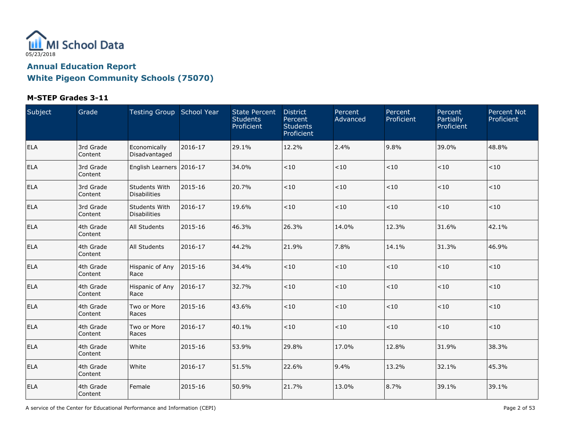

### **M-STEP Grades 3-11**

| Subject    | Grade                | Testing Group School Year            |         | <b>State Percent</b><br><b>Students</b><br>Proficient | <b>District</b><br>Percent<br><b>Students</b><br>Proficient | Percent<br>Advanced | Percent<br>Proficient | Percent<br>Partially<br>Proficient | <b>Percent Not</b><br>Proficient |
|------------|----------------------|--------------------------------------|---------|-------------------------------------------------------|-------------------------------------------------------------|---------------------|-----------------------|------------------------------------|----------------------------------|
| ELA        | 3rd Grade<br>Content | Economically<br>Disadvantaged        | 2016-17 | 29.1%                                                 | 12.2%                                                       | 2.4%                | 9.8%                  | 39.0%                              | 48.8%                            |
| <b>ELA</b> | 3rd Grade<br>Content | English Learners 2016-17             |         | 34.0%                                                 | < 10                                                        | $<10$               | $<10$                 | < 10                               | < 10                             |
| <b>ELA</b> | 3rd Grade<br>Content | Students With<br><b>Disabilities</b> | 2015-16 | 20.7%                                                 | < 10                                                        | $<10$               | $<10$                 | < 10                               | < 10                             |
| <b>ELA</b> | 3rd Grade<br>Content | Students With<br><b>Disabilities</b> | 2016-17 | 19.6%                                                 | < 10                                                        | < 10                | < 10                  | < 10                               | < 10                             |
| <b>ELA</b> | 4th Grade<br>Content | <b>All Students</b>                  | 2015-16 | 46.3%                                                 | 26.3%                                                       | 14.0%               | 12.3%                 | 31.6%                              | 42.1%                            |
| <b>ELA</b> | 4th Grade<br>Content | <b>All Students</b>                  | 2016-17 | 44.2%                                                 | 21.9%                                                       | 7.8%                | 14.1%                 | 31.3%                              | 46.9%                            |
| <b>ELA</b> | 4th Grade<br>Content | Hispanic of Any<br>Race              | 2015-16 | 34.4%                                                 | $<10$                                                       | $<\!10$             | $<\!10$               | $<10$                              | < 10                             |
| <b>ELA</b> | 4th Grade<br>Content | Hispanic of Any<br>Race              | 2016-17 | 32.7%                                                 | < 10                                                        | $<10$               | $<\!10$               | < 10                               | < 10                             |
| <b>ELA</b> | 4th Grade<br>Content | Two or More<br>Races                 | 2015-16 | 43.6%                                                 | < 10                                                        | ${<}10$             | $<10$                 | $<10$                              | < 10                             |
| ELA        | 4th Grade<br>Content | Two or More<br>Races                 | 2016-17 | 40.1%                                                 | < 10                                                        | $<\!10$             | $<\!10$               | ~10                                | < 10                             |
| <b>ELA</b> | 4th Grade<br>Content | White                                | 2015-16 | 53.9%                                                 | 29.8%                                                       | 17.0%               | 12.8%                 | 31.9%                              | 38.3%                            |
| <b>ELA</b> | 4th Grade<br>Content | White                                | 2016-17 | 51.5%                                                 | 22.6%                                                       | 9.4%                | 13.2%                 | 32.1%                              | 45.3%                            |
| ELA        | 4th Grade<br>Content | Female                               | 2015-16 | 50.9%                                                 | 21.7%                                                       | 13.0%               | 8.7%                  | 39.1%                              | 39.1%                            |

A service of the Center for Educational Performance and Information (CEPI) **Page 2** of 53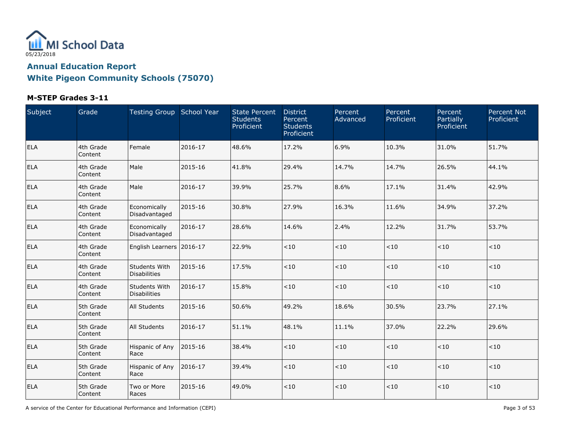

### **M-STEP Grades 3-11**

| Subject    | Grade                | Testing Group School Year            |         | <b>State Percent</b><br><b>Students</b><br>Proficient | <b>District</b><br>Percent<br><b>Students</b><br>Proficient | Percent<br>Advanced | Percent<br>Proficient | Percent<br>Partially<br>Proficient | <b>Percent Not</b><br>Proficient |
|------------|----------------------|--------------------------------------|---------|-------------------------------------------------------|-------------------------------------------------------------|---------------------|-----------------------|------------------------------------|----------------------------------|
| <b>ELA</b> | 4th Grade<br>Content | Female                               | 2016-17 | 48.6%                                                 | 17.2%                                                       | 6.9%                | 10.3%                 | 31.0%                              | 51.7%                            |
| <b>ELA</b> | 4th Grade<br>Content | Male                                 | 2015-16 | 41.8%                                                 | 29.4%                                                       | 14.7%               | 14.7%                 | 26.5%                              | 44.1%                            |
| ELA        | 4th Grade<br>Content | Male                                 | 2016-17 | 39.9%                                                 | 25.7%                                                       | 8.6%                | 17.1%                 | 31.4%                              | 42.9%                            |
| <b>ELA</b> | 4th Grade<br>Content | Economically<br>Disadvantaged        | 2015-16 | 30.8%                                                 | 27.9%                                                       | 16.3%               | 11.6%                 | 34.9%                              | 37.2%                            |
| <b>ELA</b> | 4th Grade<br>Content | Economically<br>Disadvantaged        | 2016-17 | 28.6%                                                 | 14.6%                                                       | 2.4%                | 12.2%                 | 31.7%                              | 53.7%                            |
| ELA        | 4th Grade<br>Content | English Learners 2016-17             |         | 22.9%                                                 | < 10                                                        | $<10$               | $<10$                 | $<10$                              | < 10                             |
| <b>ELA</b> | 4th Grade<br>Content | Students With<br><b>Disabilities</b> | 2015-16 | 17.5%                                                 | < 10                                                        | $<10$               | < 10                  | $<10$                              | < 10                             |
| ELA        | 4th Grade<br>Content | Students With<br><b>Disabilities</b> | 2016-17 | 15.8%                                                 | < 10                                                        | $<10$               | < 10                  | $<10$                              | < 10                             |
| <b>ELA</b> | 5th Grade<br>Content | <b>All Students</b>                  | 2015-16 | 50.6%                                                 | 49.2%                                                       | 18.6%               | 30.5%                 | 23.7%                              | 27.1%                            |
| ELA        | 5th Grade<br>Content | <b>All Students</b>                  | 2016-17 | 51.1%                                                 | 48.1%                                                       | 11.1%               | 37.0%                 | 22.2%                              | 29.6%                            |
| <b>ELA</b> | 5th Grade<br>Content | Hispanic of Any<br>Race              | 2015-16 | 38.4%                                                 | < 10                                                        | $<10$               | $<10$                 | $<10$                              | < 10                             |
| <b>ELA</b> | 5th Grade<br>Content | Hispanic of Any<br>Race              | 2016-17 | 39.4%                                                 | < 10                                                        | $<\!10$             | $<\!10$               | $<10$                              | < 10                             |
| ELA        | 5th Grade<br>Content | Two or More<br>Races                 | 2015-16 | 49.0%                                                 | < 10                                                        | $<\!10$             | < 10                  | $<10$                              | $<10$                            |

A service of the Center for Educational Performance and Information (CEPI) **Page 3 of 53** Page 3 of 53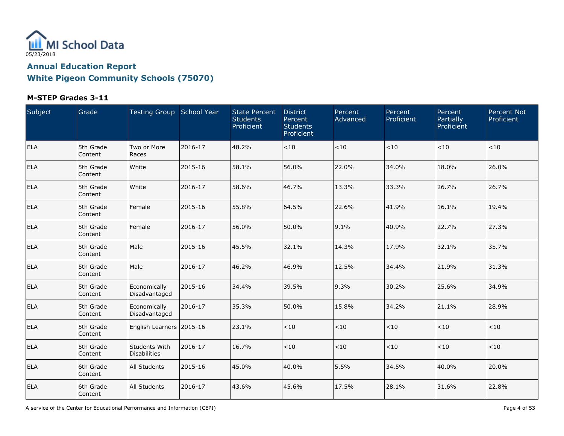

### **M-STEP Grades 3-11**

| Subject    | Grade                | Testing Group School Year                   |         | <b>State Percent</b><br><b>Students</b><br>Proficient | <b>District</b><br>Percent<br><b>Students</b><br>Proficient | Percent<br>Advanced | Percent<br>Proficient | Percent<br>Partially<br>Proficient | <b>Percent Not</b><br>Proficient |
|------------|----------------------|---------------------------------------------|---------|-------------------------------------------------------|-------------------------------------------------------------|---------------------|-----------------------|------------------------------------|----------------------------------|
| ELA        | 5th Grade<br>Content | Two or More<br>Races                        | 2016-17 | 48.2%                                                 | < 10                                                        | $<\!10$             | < 10                  | $<10$                              | < 10                             |
| <b>ELA</b> | 5th Grade<br>Content | White                                       | 2015-16 | 58.1%                                                 | 56.0%                                                       | 22.0%               | 34.0%                 | 18.0%                              | 26.0%                            |
| ELA        | 5th Grade<br>Content | White                                       | 2016-17 | 58.6%                                                 | 46.7%                                                       | 13.3%               | 33.3%                 | 26.7%                              | 26.7%                            |
| ELA        | 5th Grade<br>Content | Female                                      | 2015-16 | 55.8%                                                 | 64.5%                                                       | 22.6%               | 41.9%                 | 16.1%                              | 19.4%                            |
| ELA        | 5th Grade<br>Content | Female                                      | 2016-17 | 56.0%                                                 | 50.0%                                                       | 9.1%                | 40.9%                 | 22.7%                              | 27.3%                            |
| ELA        | 5th Grade<br>Content | Male                                        | 2015-16 | 45.5%                                                 | 32.1%                                                       | 14.3%               | 17.9%                 | 32.1%                              | 35.7%                            |
| ELA        | 5th Grade<br>Content | Male                                        | 2016-17 | 46.2%                                                 | 46.9%                                                       | 12.5%               | 34.4%                 | 21.9%                              | 31.3%                            |
| <b>ELA</b> | 5th Grade<br>Content | Economically<br>Disadvantaged               | 2015-16 | 34.4%                                                 | 39.5%                                                       | 9.3%                | 30.2%                 | 25.6%                              | 34.9%                            |
| <b>ELA</b> | 5th Grade<br>Content | Economically<br>Disadvantaged               | 2016-17 | 35.3%                                                 | 50.0%                                                       | 15.8%               | 34.2%                 | 21.1%                              | 28.9%                            |
| ELA        | 5th Grade<br>Content | English Learners 2015-16                    |         | 23.1%                                                 | < 10                                                        | ~10                 | < 10                  | < 10                               | < 10                             |
| <b>ELA</b> | 5th Grade<br>Content | <b>Students With</b><br><b>Disabilities</b> | 2016-17 | 16.7%                                                 | < 10                                                        | $<10$               | < 10                  | $<10$                              | < 10                             |
| <b>ELA</b> | 6th Grade<br>Content | <b>All Students</b>                         | 2015-16 | 45.0%                                                 | 40.0%                                                       | 5.5%                | 34.5%                 | 40.0%                              | 20.0%                            |
| <b>ELA</b> | 6th Grade<br>Content | <b>All Students</b>                         | 2016-17 | 43.6%                                                 | 45.6%                                                       | 17.5%               | 28.1%                 | 31.6%                              | 22.8%                            |

A service of the Center for Educational Performance and Information (CEPI) Page 4 of 53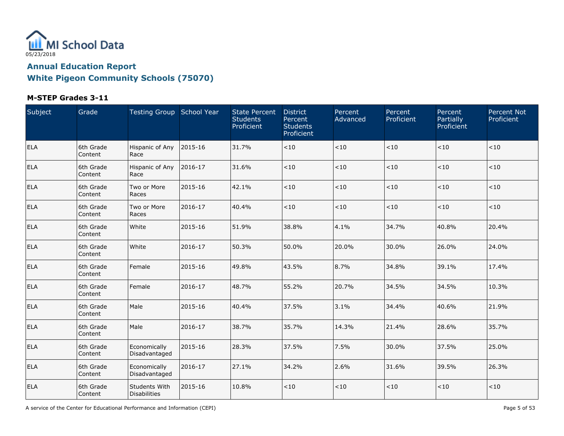

### **M-STEP Grades 3-11**

| Subject    | Grade                | Testing Group School Year            |         | <b>State Percent</b><br><b>Students</b><br>Proficient | <b>District</b><br>Percent<br><b>Students</b><br>Proficient | Percent<br>Advanced | Percent<br>Proficient | Percent<br>Partially<br>Proficient | <b>Percent Not</b><br>Proficient |
|------------|----------------------|--------------------------------------|---------|-------------------------------------------------------|-------------------------------------------------------------|---------------------|-----------------------|------------------------------------|----------------------------------|
| <b>ELA</b> | 6th Grade<br>Content | Hispanic of Any<br>Race              | 2015-16 | 31.7%                                                 | < 10                                                        | ~10                 | < 10                  | < 10                               | < 10                             |
| <b>ELA</b> | 6th Grade<br>Content | Hispanic of Any<br>Race              | 2016-17 | 31.6%                                                 | < 10                                                        | ~10                 | < 10                  | < 10                               | < 10                             |
| ELA        | 6th Grade<br>Content | Two or More<br>Races                 | 2015-16 | 42.1%                                                 | < 10                                                        | $<10$               | $<10$                 | < 10                               | < 10                             |
| <b>ELA</b> | 6th Grade<br>Content | Two or More<br>Races                 | 2016-17 | 40.4%                                                 | < 10                                                        | $<10$               | $<10$                 | < 10                               | < 10                             |
| <b>ELA</b> | 6th Grade<br>Content | White                                | 2015-16 | 51.9%                                                 | 38.8%                                                       | 4.1%                | 34.7%                 | 40.8%                              | 20.4%                            |
| <b>ELA</b> | 6th Grade<br>Content | White                                | 2016-17 | 50.3%                                                 | 50.0%                                                       | 20.0%               | 30.0%                 | 26.0%                              | 24.0%                            |
| <b>ELA</b> | 6th Grade<br>Content | Female                               | 2015-16 | 49.8%                                                 | 43.5%                                                       | 8.7%                | 34.8%                 | 39.1%                              | 17.4%                            |
| ELA        | 6th Grade<br>Content | Female                               | 2016-17 | 48.7%                                                 | 55.2%                                                       | 20.7%               | 34.5%                 | 34.5%                              | 10.3%                            |
| <b>ELA</b> | 6th Grade<br>Content | Male                                 | 2015-16 | 40.4%                                                 | 37.5%                                                       | 3.1%                | 34.4%                 | 40.6%                              | 21.9%                            |
| ELA        | 6th Grade<br>Content | Male                                 | 2016-17 | 38.7%                                                 | 35.7%                                                       | 14.3%               | 21.4%                 | 28.6%                              | 35.7%                            |
| <b>ELA</b> | 6th Grade<br>Content | Economically<br>Disadvantaged        | 2015-16 | 28.3%                                                 | 37.5%                                                       | 7.5%                | 30.0%                 | 37.5%                              | 25.0%                            |
| <b>ELA</b> | 6th Grade<br>Content | Economically<br>Disadvantaged        | 2016-17 | 27.1%                                                 | 34.2%                                                       | 2.6%                | 31.6%                 | 39.5%                              | 26.3%                            |
| ELA        | 6th Grade<br>Content | Students With<br><b>Disabilities</b> | 2015-16 | 10.8%                                                 | < 10                                                        | $<\!10$             | < 10                  | $<10$                              | $<\!10$                          |

A service of the Center for Educational Performance and Information (CEPI) Page 5 of 53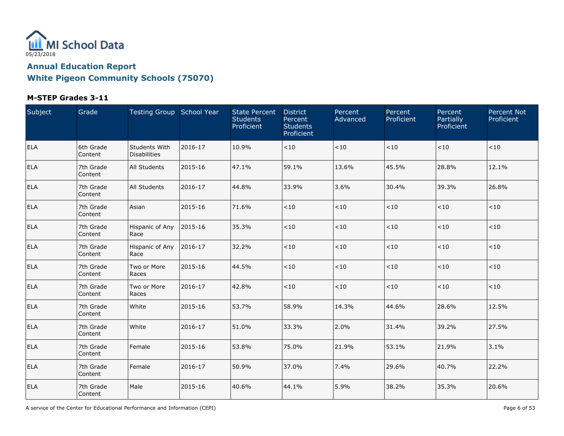

### **M-STEP Grades 3-11**

| Subject    | Grade                | Testing Group School Year            |         | <b>State Percent</b><br><b>Students</b><br>Proficient | <b>District</b><br>Percent<br><b>Students</b><br>Proficient | Percent<br>Advanced | Percent<br>Proficient | Percent<br>Partially<br>Proficient | <b>Percent Not</b><br>Proficient |
|------------|----------------------|--------------------------------------|---------|-------------------------------------------------------|-------------------------------------------------------------|---------------------|-----------------------|------------------------------------|----------------------------------|
| ELA        | 6th Grade<br>Content | Students With<br><b>Disabilities</b> | 2016-17 | 10.9%                                                 | < 10                                                        | $<\!10$             | < 10                  | $<10$                              | < 10                             |
| <b>ELA</b> | 7th Grade<br>Content | All Students                         | 2015-16 | 47.1%                                                 | 59.1%                                                       | 13.6%               | 45.5%                 | 28.8%                              | 12.1%                            |
| <b>ELA</b> | 7th Grade<br>Content | All Students                         | 2016-17 | 44.8%                                                 | 33.9%                                                       | 3.6%                | 30.4%                 | 39.3%                              | 26.8%                            |
| <b>ELA</b> | 7th Grade<br>Content | Asian                                | 2015-16 | 71.6%                                                 | $<10$                                                       | $<10$               | $<\!10$               | $<10$                              | < 10                             |
| ELA        | 7th Grade<br>Content | Hispanic of Any<br>Race              | 2015-16 | 35.3%                                                 | $<10$                                                       | $<10$               | $<\!10$               | $<10$                              | < 10                             |
| <b>ELA</b> | 7th Grade<br>Content | Hispanic of Any<br>Race              | 2016-17 | 32.2%                                                 | < 10                                                        | $<10$               | $<\!10$               | $<10$                              | $<10$                            |
| <b>ELA</b> | 7th Grade<br>Content | Two or More<br>Races                 | 2015-16 | 44.5%                                                 | < 10                                                        | $<10$               | < 10                  | $<10$                              | $<10$                            |
| <b>ELA</b> | 7th Grade<br>Content | Two or More<br>Races                 | 2016-17 | 42.8%                                                 | < 10                                                        | $<10$               | < 10                  | $<10$                              | < 10                             |
| ELA        | 7th Grade<br>Content | White                                | 2015-16 | 53.7%                                                 | 58.9%                                                       | 14.3%               | 44.6%                 | 28.6%                              | 12.5%                            |
| ELA        | 7th Grade<br>Content | White                                | 2016-17 | 51.0%                                                 | 33.3%                                                       | 2.0%                | 31.4%                 | 39.2%                              | 27.5%                            |
| ELA        | 7th Grade<br>Content | Female                               | 2015-16 | 53.8%                                                 | 75.0%                                                       | 21.9%               | 53.1%                 | 21.9%                              | 3.1%                             |
| <b>ELA</b> | 7th Grade<br>Content | Female                               | 2016-17 | 50.9%                                                 | 37.0%                                                       | 7.4%                | 29.6%                 | 40.7%                              | 22.2%                            |
| ELA        | 7th Grade<br>Content | Male                                 | 2015-16 | 40.6%                                                 | 44.1%                                                       | 5.9%                | 38.2%                 | 35.3%                              | 20.6%                            |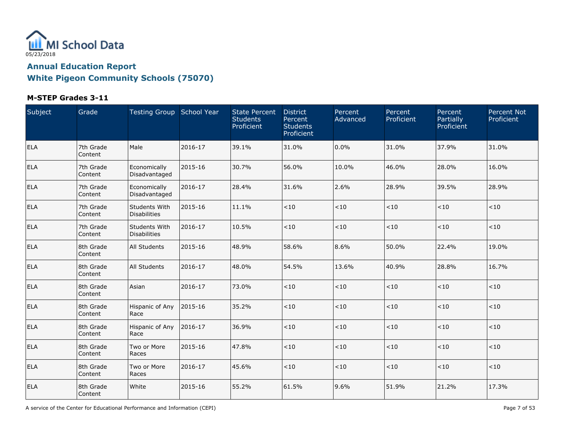

### **M-STEP Grades 3-11**

| Subject    | Grade                  | Testing Group School Year            |         | <b>State Percent</b><br><b>Students</b><br>Proficient | <b>District</b><br>Percent<br><b>Students</b><br>Proficient | Percent<br>Advanced | Percent<br>Proficient | Percent<br>Partially<br>Proficient | <b>Percent Not</b><br>Proficient |
|------------|------------------------|--------------------------------------|---------|-------------------------------------------------------|-------------------------------------------------------------|---------------------|-----------------------|------------------------------------|----------------------------------|
| <b>ELA</b> | 7th Grade<br>Content   | Male                                 | 2016-17 | 39.1%                                                 | 31.0%                                                       | 0.0%                | 31.0%                 | 37.9%                              | 31.0%                            |
| <b>ELA</b> | 7th Grade<br>Content   | Economically<br>Disadvantaged        | 2015-16 | 30.7%                                                 | 56.0%                                                       | 10.0%               | 46.0%                 | 28.0%                              | 16.0%                            |
| <b>ELA</b> | 7th Grade<br>l Content | Economically<br>Disadvantaged        | 2016-17 | 28.4%                                                 | 31.6%                                                       | 2.6%                | 28.9%                 | 39.5%                              | 28.9%                            |
| <b>ELA</b> | 7th Grade<br>Content   | Students With<br>Disabilities        | 2015-16 | 11.1%                                                 | < 10                                                        | $<\!10$             | $<10$                 | < 10                               | < 10                             |
| <b>ELA</b> | 7th Grade<br>Content   | Students With<br><b>Disabilities</b> | 2016-17 | 10.5%                                                 | <10                                                         | $<\!10$             | $<10$                 | < 10                               | < 10                             |
| <b>ELA</b> | 8th Grade<br>Content   | <b>All Students</b>                  | 2015-16 | 48.9%                                                 | 58.6%                                                       | 8.6%                | 50.0%                 | 22.4%                              | 19.0%                            |
| <b>ELA</b> | 8th Grade<br>Content   | <b>All Students</b>                  | 2016-17 | 48.0%                                                 | 54.5%                                                       | 13.6%               | 40.9%                 | 28.8%                              | 16.7%                            |
| <b>ELA</b> | 8th Grade<br>Content   | Asian                                | 2016-17 | 73.0%                                                 | < 10                                                        | $<10$               | < 10                  | < 10                               | < 10                             |
| <b>ELA</b> | 8th Grade<br>Content   | Hispanic of Any<br>Race              | 2015-16 | 35.2%                                                 | < 10                                                        | $<\!10$             | < 10                  | < 10                               | < 10                             |
| <b>ELA</b> | 8th Grade<br>Content   | Hispanic of Any<br>Race              | 2016-17 | 36.9%                                                 | < 10                                                        | $<10$               | < 10                  | < 10                               | < 10                             |
| <b>ELA</b> | 8th Grade<br>Content   | Two or More<br>Races                 | 2015-16 | 47.8%                                                 | < 10                                                        | $<\!10$             | $<\!10$               | < 10                               | $<\!10$                          |
| <b>ELA</b> | 8th Grade<br>Content   | Two or More<br>Races                 | 2016-17 | 45.6%                                                 | < 10                                                        | $<\!10$             | $<\!10$               | < 10                               | < 10                             |
| <b>ELA</b> | 8th Grade<br>Content   | White                                | 2015-16 | 55.2%                                                 | 61.5%                                                       | 9.6%                | 51.9%                 | 21.2%                              | 17.3%                            |

A service of the Center for Educational Performance and Information (CEPI) And Society and Society and Society Page 7 of 53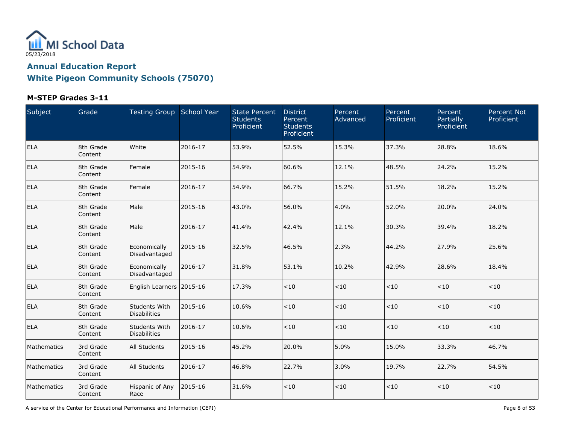

### **M-STEP Grades 3-11**

| Subject     | Grade                | Testing Group School Year            |         | <b>State Percent</b><br><b>Students</b><br>Proficient | <b>District</b><br>Percent<br><b>Students</b><br>Proficient | Percent<br>Advanced | Percent<br>Proficient | Percent<br>Partially<br>Proficient | <b>Percent Not</b><br>Proficient |
|-------------|----------------------|--------------------------------------|---------|-------------------------------------------------------|-------------------------------------------------------------|---------------------|-----------------------|------------------------------------|----------------------------------|
| <b>ELA</b>  | 8th Grade<br>Content | White                                | 2016-17 | 53.9%                                                 | 52.5%                                                       | 15.3%               | 37.3%                 | 28.8%                              | 18.6%                            |
| <b>ELA</b>  | 8th Grade<br>Content | Female                               | 2015-16 | 54.9%                                                 | 60.6%                                                       | 12.1%               | 48.5%                 | 24.2%                              | 15.2%                            |
| <b>ELA</b>  | 8th Grade<br>Content | Female                               | 2016-17 | 54.9%                                                 | 66.7%                                                       | 15.2%               | 51.5%                 | 18.2%                              | 15.2%                            |
| <b>ELA</b>  | 8th Grade<br>Content | Male                                 | 2015-16 | 43.0%                                                 | 56.0%                                                       | 4.0%                | 52.0%                 | 20.0%                              | 24.0%                            |
| <b>ELA</b>  | 8th Grade<br>Content | Male                                 | 2016-17 | 41.4%                                                 | 42.4%                                                       | 12.1%               | 30.3%                 | 39.4%                              | 18.2%                            |
| <b>ELA</b>  | 8th Grade<br>Content | Economically<br>Disadvantaged        | 2015-16 | 32.5%                                                 | 46.5%                                                       | 2.3%                | 44.2%                 | 27.9%                              | 25.6%                            |
| <b>ELA</b>  | 8th Grade<br>Content | Economically<br>Disadvantaged        | 2016-17 | 31.8%                                                 | 53.1%                                                       | 10.2%               | 42.9%                 | 28.6%                              | 18.4%                            |
| <b>ELA</b>  | 8th Grade<br>Content | English Learners 2015-16             |         | 17.3%                                                 | < 10                                                        | $<10$               | < 10                  | < 10                               | < 10                             |
| <b>ELA</b>  | 8th Grade<br>Content | Students With<br><b>Disabilities</b> | 2015-16 | 10.6%                                                 | < 10                                                        | $<\!10$             | < 10                  | < 10                               | < 10                             |
| <b>ELA</b>  | 8th Grade<br>Content | Students With<br>Disabilities        | 2016-17 | 10.6%                                                 | < 10                                                        | $<10$               | < 10                  | < 10                               | < 10                             |
| Mathematics | 3rd Grade<br>Content | <b>All Students</b>                  | 2015-16 | 45.2%                                                 | 20.0%                                                       | 5.0%                | 15.0%                 | 33.3%                              | 46.7%                            |
| Mathematics | 3rd Grade<br>Content | <b>All Students</b>                  | 2016-17 | 46.8%                                                 | 22.7%                                                       | 3.0%                | 19.7%                 | 22.7%                              | 54.5%                            |
| Mathematics | 3rd Grade<br>Content | Hispanic of Any<br>Race              | 2015-16 | 31.6%                                                 | < 10                                                        | $<10$               | < 10                  | < 10                               | $<\!10$                          |

A service of the Center for Educational Performance and Information (CEPI) Page 8 of 53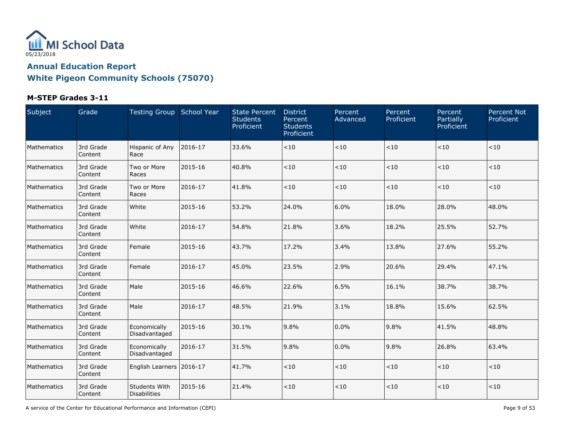

#### **M-STEP Grades 3-11**

| Subject     | Grade                | Testing Group School Year            |         | <b>State Percent</b><br><b>Students</b><br>Proficient | <b>District</b><br>Percent<br><b>Students</b><br>Proficient | Percent<br>Advanced | Percent<br>Proficient | Percent<br>Partially<br>Proficient | <b>Percent Not</b><br>Proficient |
|-------------|----------------------|--------------------------------------|---------|-------------------------------------------------------|-------------------------------------------------------------|---------------------|-----------------------|------------------------------------|----------------------------------|
| Mathematics | 3rd Grade<br>Content | Hispanic of Any<br>Race              | 2016-17 | 33.6%                                                 | < 10                                                        | $<10$               | < 10                  | < 10                               | < 10                             |
| Mathematics | 3rd Grade<br>Content | Two or More<br>Races                 | 2015-16 | 40.8%                                                 | < 10                                                        | $<10$               | $<10$                 | < 10                               | < 10                             |
| Mathematics | 3rd Grade<br>Content | Two or More<br>Races                 | 2016-17 | 41.8%                                                 | < 10                                                        | $<10$               | $<10$                 | < 10                               | < 10                             |
| Mathematics | 3rd Grade<br>Content | White                                | 2015-16 | 53.2%                                                 | 24.0%                                                       | 6.0%                | 18.0%                 | 28.0%                              | 48.0%                            |
| Mathematics | 3rd Grade<br>Content | White                                | 2016-17 | 54.8%                                                 | 21.8%                                                       | 3.6%                | 18.2%                 | 25.5%                              | 52.7%                            |
| Mathematics | 3rd Grade<br>Content | Female                               | 2015-16 | 43.7%                                                 | 17.2%                                                       | 3.4%                | 13.8%                 | 27.6%                              | 55.2%                            |
| Mathematics | 3rd Grade<br>Content | Female                               | 2016-17 | 45.0%                                                 | 23.5%                                                       | 2.9%                | 20.6%                 | 29.4%                              | 47.1%                            |
| Mathematics | 3rd Grade<br>Content | Male                                 | 2015-16 | 46.6%                                                 | 22.6%                                                       | 6.5%                | 16.1%                 | 38.7%                              | 38.7%                            |
| Mathematics | 3rd Grade<br>Content | Male                                 | 2016-17 | 48.5%                                                 | 21.9%                                                       | 3.1%                | 18.8%                 | 15.6%                              | 62.5%                            |
| Mathematics | 3rd Grade<br>Content | Economically<br>Disadvantaged        | 2015-16 | 30.1%                                                 | 9.8%                                                        | $0.0\%$             | 9.8%                  | 41.5%                              | 48.8%                            |
| Mathematics | 3rd Grade<br>Content | Economically<br>Disadvantaged        | 2016-17 | 31.5%                                                 | 9.8%                                                        | 0.0%                | 9.8%                  | 26.8%                              | 63.4%                            |
| Mathematics | 3rd Grade<br>Content | English Learners 2016-17             |         | 41.7%                                                 | < 10                                                        | $<\!10$             | $<\!10$               | < 10                               | < 10                             |
| Mathematics | 3rd Grade<br>Content | <b>Students With</b><br>Disabilities | 2015-16 | 21.4%                                                 | < 10                                                        | $<\!10$             | < 10                  | < 10                               | < 10                             |

A service of the Center for Educational Performance and Information (CEPI) And Society and Society and Society Page 9 of 53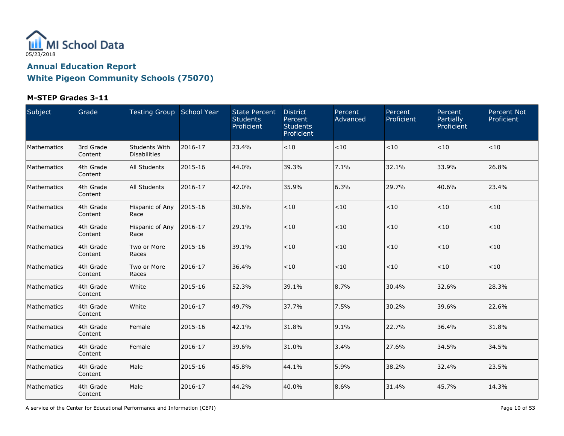

#### **M-STEP Grades 3-11**

| <b>Subject</b> | Grade                | Testing Group School Year            |         | <b>State Percent</b><br><b>Students</b><br><b>Proficient</b> | <b>District</b><br>Percent<br><b>Students</b><br>Proficient | Percent<br>Advanced | Percent<br>Proficient | Percent<br>Partially<br>Proficient | <b>Percent Not</b><br>Proficient |
|----------------|----------------------|--------------------------------------|---------|--------------------------------------------------------------|-------------------------------------------------------------|---------------------|-----------------------|------------------------------------|----------------------------------|
| Mathematics    | 3rd Grade<br>Content | Students With<br><b>Disabilities</b> | 2016-17 | 23.4%                                                        | < 10                                                        | $<\!10$             | < 10                  | < 10                               | < 10                             |
| Mathematics    | 4th Grade<br>Content | All Students                         | 2015-16 | 44.0%                                                        | 39.3%                                                       | 7.1%                | 32.1%                 | 33.9%                              | 26.8%                            |
| Mathematics    | 4th Grade<br>Content | All Students                         | 2016-17 | 42.0%                                                        | 35.9%                                                       | 6.3%                | 29.7%                 | 40.6%                              | 23.4%                            |
| Mathematics    | 4th Grade<br>Content | Hispanic of Any<br>Race              | 2015-16 | 30.6%                                                        | $<10$                                                       | $<10$               | < 10                  | < 10                               | < 10                             |
| Mathematics    | 4th Grade<br>Content | Hispanic of Any<br>Race              | 2016-17 | 29.1%                                                        | $<10$                                                       | $<\!10$             | $<\!10$               | < 10                               | < 10                             |
| Mathematics    | 4th Grade<br>Content | Two or More<br>Races                 | 2015-16 | 39.1%                                                        | < 10                                                        | $<\!10$             | $<\!10$               | < 10                               | < 10                             |
| Mathematics    | 4th Grade<br>Content | Two or More<br>Races                 | 2016-17 | 36.4%                                                        | < 10                                                        | $<10$               | $<10$                 | $<10$                              | < 10                             |
| Mathematics    | 4th Grade<br>Content | White                                | 2015-16 | 52.3%                                                        | 39.1%                                                       | 8.7%                | 30.4%                 | 32.6%                              | 28.3%                            |
| Mathematics    | 4th Grade<br>Content | White                                | 2016-17 | 49.7%                                                        | 37.7%                                                       | 7.5%                | 30.2%                 | 39.6%                              | 22.6%                            |
| Mathematics    | 4th Grade<br>Content | Female                               | 2015-16 | 42.1%                                                        | 31.8%                                                       | 9.1%                | 22.7%                 | 36.4%                              | 31.8%                            |
| Mathematics    | 4th Grade<br>Content | Female                               | 2016-17 | 39.6%                                                        | 31.0%                                                       | 3.4%                | 27.6%                 | 34.5%                              | 34.5%                            |
| Mathematics    | 4th Grade<br>Content | Male                                 | 2015-16 | 45.8%                                                        | 44.1%                                                       | 5.9%                | 38.2%                 | 32.4%                              | 23.5%                            |
| Mathematics    | 4th Grade<br>Content | Male                                 | 2016-17 | 44.2%                                                        | 40.0%                                                       | 8.6%                | 31.4%                 | 45.7%                              | 14.3%                            |

A service of the Center for Educational Performance and Information (CEPI) **Page 10** of 53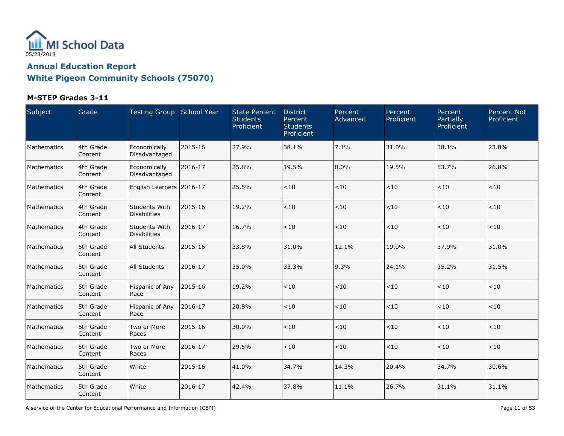

#### **M-STEP Grades 3-11**

| Subject            | Grade                | Testing Group School Year            |         | <b>State Percent</b><br><b>Students</b><br>Proficient | <b>District</b><br>Percent<br><b>Students</b><br>Proficient | Percent<br>Advanced | Percent<br>Proficient | Percent<br>Partially<br>Proficient | Percent Not<br>Proficient |
|--------------------|----------------------|--------------------------------------|---------|-------------------------------------------------------|-------------------------------------------------------------|---------------------|-----------------------|------------------------------------|---------------------------|
| Mathematics        | 4th Grade<br>Content | Economically<br>Disadvantaged        | 2015-16 | 27.9%                                                 | 38.1%                                                       | 7.1%                | 31.0%                 | 38.1%                              | 23.8%                     |
| Mathematics        | 4th Grade<br>Content | Economically<br>Disadvantaged        | 2016-17 | 25.8%                                                 | 19.5%                                                       | 0.0%                | 19.5%                 | 53.7%                              | 26.8%                     |
| Mathematics        | 4th Grade<br>Content | English Learners 2016-17             |         | 25.5%                                                 | < 10                                                        | $<10$               | < 10                  | $<\!10$                            | < 10                      |
| Mathematics        | 4th Grade<br>Content | Students With<br><b>Disabilities</b> | 2015-16 | 19.2%                                                 | < 10                                                        | < 10                | $<\!10$               | $<\!10$                            | $<10$                     |
| <b>Mathematics</b> | 4th Grade<br>Content | Students With<br><b>Disabilities</b> | 2016-17 | 16.7%                                                 | < 10                                                        | < 10                | $<10$                 | ~10                                | < 10                      |
| Mathematics        | 5th Grade<br>Content | All Students                         | 2015-16 | 33.8%                                                 | 31.0%                                                       | 12.1%               | 19.0%                 | 37.9%                              | 31.0%                     |
| Mathematics        | 5th Grade<br>Content | All Students                         | 2016-17 | 35.0%                                                 | 33.3%                                                       | 9.3%                | 24.1%                 | 35.2%                              | 31.5%                     |
| Mathematics        | 5th Grade<br>Content | Hispanic of Any<br>Race              | 2015-16 | 19.2%                                                 | < 10                                                        | $<10$               | < 10                  | $<\!10$                            | < 10                      |
| Mathematics        | 5th Grade<br>Content | Hispanic of Any<br>Race              | 2016-17 | 20.8%                                                 | < 10                                                        | < 10                | $<10$                 | $<10$                              | < 10                      |
| Mathematics        | 5th Grade<br>Content | Two or More<br>Races                 | 2015-16 | 30.0%                                                 | < 10                                                        | < 10                | < 10                  | $<\!10$                            | < 10                      |
| Mathematics        | 5th Grade<br>Content | Two or More<br>Races                 | 2016-17 | 29.5%                                                 | < 10                                                        | $<10$               | < 10                  | $<10$                              | < 10                      |
| Mathematics        | 5th Grade<br>Content | White                                | 2015-16 | 41.0%                                                 | 34.7%                                                       | 14.3%               | 20.4%                 | 34.7%                              | 30.6%                     |
| Mathematics        | 5th Grade<br>Content | White                                | 2016-17 | 42.4%                                                 | 37.8%                                                       | 11.1%               | 26.7%                 | 31.1%                              | 31.1%                     |

A service of the Center for Educational Performance and Information (CEPI) **Page 11** of 53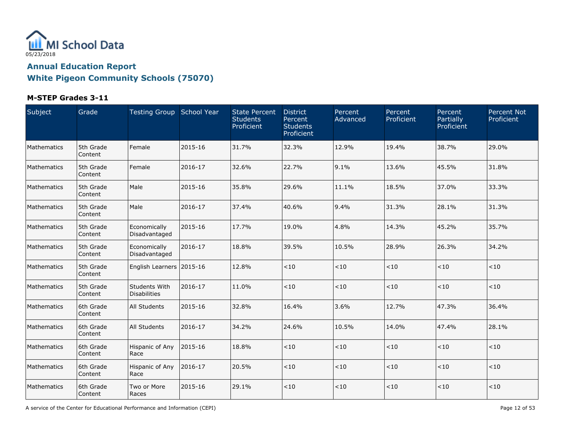

### **M-STEP Grades 3-11**

| Subject     | Grade                | Testing Group School Year            |         | <b>State Percent</b><br><b>Students</b><br>Proficient | <b>District</b><br>Percent<br><b>Students</b><br>Proficient | Percent<br>Advanced | Percent<br>Proficient | Percent<br>Partially<br>Proficient | <b>Percent Not</b><br>Proficient |
|-------------|----------------------|--------------------------------------|---------|-------------------------------------------------------|-------------------------------------------------------------|---------------------|-----------------------|------------------------------------|----------------------------------|
| Mathematics | 5th Grade<br>Content | Female                               | 2015-16 | 31.7%                                                 | 32.3%                                                       | 12.9%               | 19.4%                 | 38.7%                              | 29.0%                            |
| Mathematics | 5th Grade<br>Content | Female                               | 2016-17 | 32.6%                                                 | 22.7%                                                       | 9.1%                | 13.6%                 | 45.5%                              | 31.8%                            |
| Mathematics | 5th Grade<br>Content | Male                                 | 2015-16 | 35.8%                                                 | 29.6%                                                       | 11.1%               | 18.5%                 | 37.0%                              | 33.3%                            |
| Mathematics | 5th Grade<br>Content | Male                                 | 2016-17 | 37.4%                                                 | 40.6%                                                       | 9.4%                | 31.3%                 | 28.1%                              | 31.3%                            |
| Mathematics | 5th Grade<br>Content | Economically<br>Disadvantaged        | 2015-16 | 17.7%                                                 | 19.0%                                                       | 4.8%                | 14.3%                 | 45.2%                              | 35.7%                            |
| Mathematics | 5th Grade<br>Content | Economically<br>Disadvantaged        | 2016-17 | 18.8%                                                 | 39.5%                                                       | 10.5%               | 28.9%                 | 26.3%                              | 34.2%                            |
| Mathematics | 5th Grade<br>Content | English Learners 2015-16             |         | 12.8%                                                 | < 10                                                        | $<10$               | < 10                  | $<10$                              | < 10                             |
| Mathematics | 5th Grade<br>Content | Students With<br><b>Disabilities</b> | 2016-17 | 11.0%                                                 | <10                                                         | $<10$               | < 10                  | $<10$                              | < 10                             |
| Mathematics | 6th Grade<br>Content | All Students                         | 2015-16 | 32.8%                                                 | 16.4%                                                       | 3.6%                | 12.7%                 | 47.3%                              | 36.4%                            |
| Mathematics | 6th Grade<br>Content | All Students                         | 2016-17 | 34.2%                                                 | 24.6%                                                       | 10.5%               | 14.0%                 | 47.4%                              | 28.1%                            |
| Mathematics | 6th Grade<br>Content | Hispanic of Any<br>Race              | 2015-16 | 18.8%                                                 | < 10                                                        | < 10                | < 10                  | $<10$                              | < 10                             |
| Mathematics | 6th Grade<br>Content | <b>Hispanic of Any</b><br>Race       | 2016-17 | 20.5%                                                 | < 10                                                        | $<10$               | < 10                  | $<10$                              | < 10                             |
| Mathematics | 6th Grade<br>Content | Two or More<br>Races                 | 2015-16 | 29.1%                                                 | < 10                                                        | $<10$               | < 10                  | < 10                               | $<10$                            |

A service of the Center for Educational Performance and Information (CEPI) **Page 12 of 53** Page 12 of 53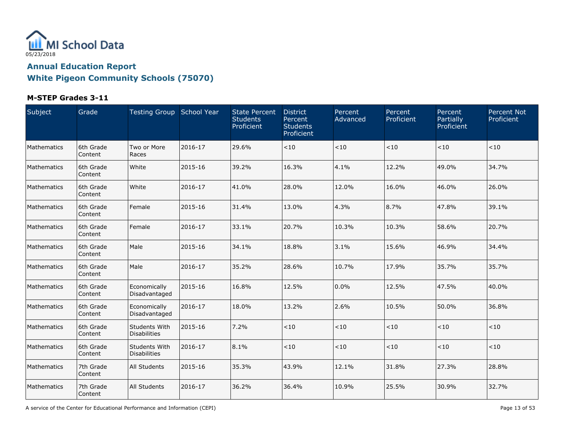

#### **M-STEP Grades 3-11**

| Subject     | Grade                | Testing Group School Year            |         | <b>State Percent</b><br><b>Students</b><br>Proficient | <b>District</b><br>Percent<br><b>Students</b><br>Proficient | Percent<br>Advanced | Percent<br>Proficient | Percent<br>Partially<br>Proficient | <b>Percent Not</b><br>Proficient |
|-------------|----------------------|--------------------------------------|---------|-------------------------------------------------------|-------------------------------------------------------------|---------------------|-----------------------|------------------------------------|----------------------------------|
| Mathematics | 6th Grade<br>Content | Two or More<br>Races                 | 2016-17 | 29.6%                                                 | < 10                                                        | $<10$               | < 10                  | $<10$                              | < 10                             |
| Mathematics | 6th Grade<br>Content | White                                | 2015-16 | 39.2%                                                 | 16.3%                                                       | 4.1%                | 12.2%                 | 49.0%                              | 34.7%                            |
| Mathematics | 6th Grade<br>Content | White                                | 2016-17 | 41.0%                                                 | 28.0%                                                       | 12.0%               | 16.0%                 | 46.0%                              | 26.0%                            |
| Mathematics | 6th Grade<br>Content | Female                               | 2015-16 | 31.4%                                                 | 13.0%                                                       | 4.3%                | 8.7%                  | 47.8%                              | 39.1%                            |
| Mathematics | 6th Grade<br>Content | Female                               | 2016-17 | 33.1%                                                 | 20.7%                                                       | 10.3%               | 10.3%                 | 58.6%                              | 20.7%                            |
| Mathematics | 6th Grade<br>Content | Male                                 | 2015-16 | 34.1%                                                 | 18.8%                                                       | 3.1%                | 15.6%                 | 46.9%                              | 34.4%                            |
| Mathematics | 6th Grade<br>Content | Male                                 | 2016-17 | 35.2%                                                 | 28.6%                                                       | 10.7%               | 17.9%                 | 35.7%                              | 35.7%                            |
| Mathematics | 6th Grade<br>Content | Economically<br>Disadvantaged        | 2015-16 | 16.8%                                                 | 12.5%                                                       | 0.0%                | 12.5%                 | 47.5%                              | 40.0%                            |
| Mathematics | 6th Grade<br>Content | Economically<br>Disadvantaged        | 2016-17 | 18.0%                                                 | 13.2%                                                       | 2.6%                | 10.5%                 | 50.0%                              | 36.8%                            |
| Mathematics | 6th Grade<br>Content | Students With<br><b>Disabilities</b> | 2015-16 | 7.2%                                                  | < 10                                                        | < 10                | < 10                  | $<10$                              | < 10                             |
| Mathematics | 6th Grade<br>Content | Students With<br>Disabilities        | 2016-17 | 8.1%                                                  | <10                                                         | $<10$               | < 10                  | < 10                               | $<10$                            |
| Mathematics | 7th Grade<br>Content | <b>All Students</b>                  | 2015-16 | 35.3%                                                 | 43.9%                                                       | 12.1%               | 31.8%                 | 27.3%                              | 28.8%                            |
| Mathematics | 7th Grade<br>Content | All Students                         | 2016-17 | 36.2%                                                 | 36.4%                                                       | 10.9%               | 25.5%                 | 30.9%                              | 32.7%                            |

A service of the Center for Educational Performance and Information (CEPI) **Page 13 of 53** Page 13 of 53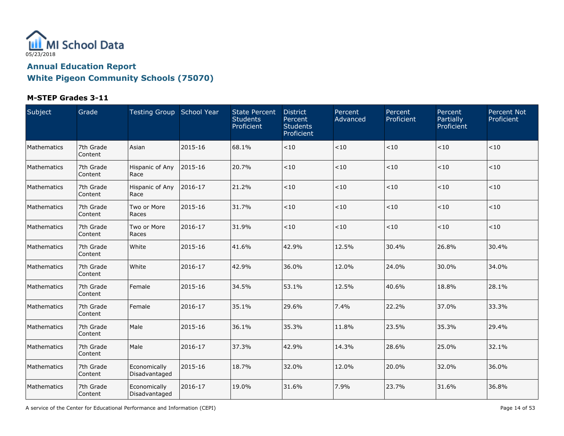

### **M-STEP Grades 3-11**

| Subject     | Grade                | Testing Group School Year     |         | <b>State Percent</b><br><b>Students</b><br>Proficient | <b>District</b><br>Percent<br><b>Students</b><br>Proficient | Percent<br>Advanced | Percent<br>Proficient | Percent<br>Partially<br>Proficient | <b>Percent Not</b><br>Proficient |
|-------------|----------------------|-------------------------------|---------|-------------------------------------------------------|-------------------------------------------------------------|---------------------|-----------------------|------------------------------------|----------------------------------|
| Mathematics | 7th Grade<br>Content | Asian                         | 2015-16 | 68.1%                                                 | < 10                                                        | $<10$               | < 10                  | < 10                               | < 10                             |
| Mathematics | 7th Grade<br>Content | Hispanic of Any<br>Race       | 2015-16 | 20.7%                                                 | < 10                                                        | $<10$               | $<10$                 | < 10                               | < 10                             |
| Mathematics | 7th Grade<br>Content | Hispanic of Any<br>Race       | 2016-17 | 21.2%                                                 | < 10                                                        | $<10$               | $<10$                 | < 10                               | < 10                             |
| Mathematics | 7th Grade<br>Content | Two or More<br>Races          | 2015-16 | 31.7%                                                 | < 10                                                        | $<\!10$             | $<10$                 | < 10                               | < 10                             |
| Mathematics | 7th Grade<br>Content | Two or More<br>Races          | 2016-17 | 31.9%                                                 | < 10                                                        | $<10$               | $<10$                 | < 10                               | < 10                             |
| Mathematics | 7th Grade<br>Content | White                         | 2015-16 | 41.6%                                                 | 42.9%                                                       | 12.5%               | 30.4%                 | 26.8%                              | 30.4%                            |
| Mathematics | 7th Grade<br>Content | White                         | 2016-17 | 42.9%                                                 | 36.0%                                                       | 12.0%               | 24.0%                 | 30.0%                              | 34.0%                            |
| Mathematics | 7th Grade<br>Content | Female                        | 2015-16 | 34.5%                                                 | 53.1%                                                       | 12.5%               | 40.6%                 | 18.8%                              | 28.1%                            |
| Mathematics | 7th Grade<br>Content | Female                        | 2016-17 | 35.1%                                                 | 29.6%                                                       | 7.4%                | 22.2%                 | 37.0%                              | 33.3%                            |
| Mathematics | 7th Grade<br>Content | Male                          | 2015-16 | 36.1%                                                 | 35.3%                                                       | 11.8%               | 23.5%                 | 35.3%                              | 29.4%                            |
| Mathematics | 7th Grade<br>Content | Male                          | 2016-17 | 37.3%                                                 | 42.9%                                                       | 14.3%               | 28.6%                 | 25.0%                              | 32.1%                            |
| Mathematics | 7th Grade<br>Content | Economically<br>Disadvantaged | 2015-16 | 18.7%                                                 | 32.0%                                                       | 12.0%               | 20.0%                 | 32.0%                              | 36.0%                            |
| Mathematics | 7th Grade<br>Content | Economically<br>Disadvantaged | 2016-17 | 19.0%                                                 | 31.6%                                                       | 7.9%                | 23.7%                 | 31.6%                              | 36.8%                            |

A service of the Center for Educational Performance and Information (CEPI) **Page 14 of 53** Page 14 of 53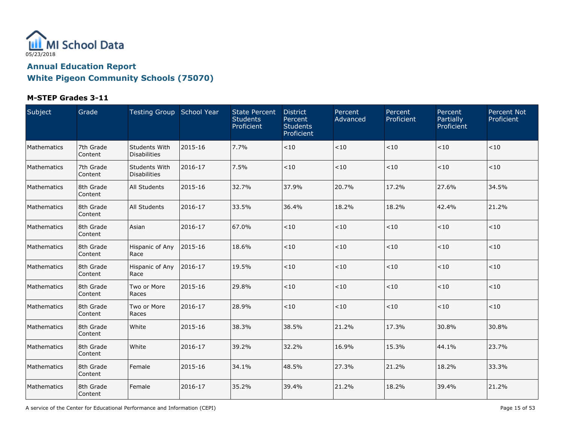

### **M-STEP Grades 3-11**

| Subject     | Grade                | Testing Group School Year            |         | <b>State Percent</b><br><b>Students</b><br>Proficient | <b>District</b><br>Percent<br><b>Students</b><br>Proficient | Percent<br>Advanced | Percent<br>Proficient | Percent<br>Partially<br>Proficient | Percent Not<br>Proficient |
|-------------|----------------------|--------------------------------------|---------|-------------------------------------------------------|-------------------------------------------------------------|---------------------|-----------------------|------------------------------------|---------------------------|
| Mathematics | 7th Grade<br>Content | Students With<br><b>Disabilities</b> | 2015-16 | 7.7%                                                  | < 10                                                        | $<10$               | < 10                  | $<10$                              | < 10                      |
| Mathematics | 7th Grade<br>Content | Students With<br><b>Disabilities</b> | 2016-17 | 7.5%                                                  | < 10                                                        | < 10                | < 10                  | $<10$                              | < 10                      |
| Mathematics | 8th Grade<br>Content | <b>All Students</b>                  | 2015-16 | 32.7%                                                 | 37.9%                                                       | 20.7%               | 17.2%                 | 27.6%                              | 34.5%                     |
| Mathematics | 8th Grade<br>Content | <b>All Students</b>                  | 2016-17 | 33.5%                                                 | 36.4%                                                       | 18.2%               | 18.2%                 | 42.4%                              | 21.2%                     |
| Mathematics | 8th Grade<br>Content | Asian                                | 2016-17 | 67.0%                                                 | < 10                                                        | < 10                | < 10                  | $<\!10$                            | $<\!10$                   |
| Mathematics | 8th Grade<br>Content | Hispanic of Any<br>Race              | 2015-16 | 18.6%                                                 | < 10                                                        | $<10$               | $<\!10$               | $<\!10$                            | $<\!10$                   |
| Mathematics | 8th Grade<br>Content | Hispanic of Any<br>Race              | 2016-17 | 19.5%                                                 | < 10                                                        | < 10                | < 10                  | $<10$                              | < 10                      |
| Mathematics | 8th Grade<br>Content | Two or More<br>Races                 | 2015-16 | 29.8%                                                 | < 10                                                        | $<10$               | < 10                  | $<10$                              | < 10                      |
| Mathematics | 8th Grade<br>Content | Two or More<br>Races                 | 2016-17 | 28.9%                                                 | < 10                                                        | $<10$               | < 10                  | $<10$                              | < 10                      |
| Mathematics | 8th Grade<br>Content | White                                | 2015-16 | 38.3%                                                 | 38.5%                                                       | 21.2%               | 17.3%                 | 30.8%                              | 30.8%                     |
| Mathematics | 8th Grade<br>Content | White                                | 2016-17 | 39.2%                                                 | 32.2%                                                       | 16.9%               | 15.3%                 | 44.1%                              | 23.7%                     |
| Mathematics | 8th Grade<br>Content | Female                               | 2015-16 | 34.1%                                                 | 48.5%                                                       | 27.3%               | 21.2%                 | 18.2%                              | 33.3%                     |
| Mathematics | 8th Grade<br>Content | Female                               | 2016-17 | 35.2%                                                 | 39.4%                                                       | 21.2%               | 18.2%                 | 39.4%                              | 21.2%                     |

A service of the Center for Educational Performance and Information (CEPI) **Page 15** of 53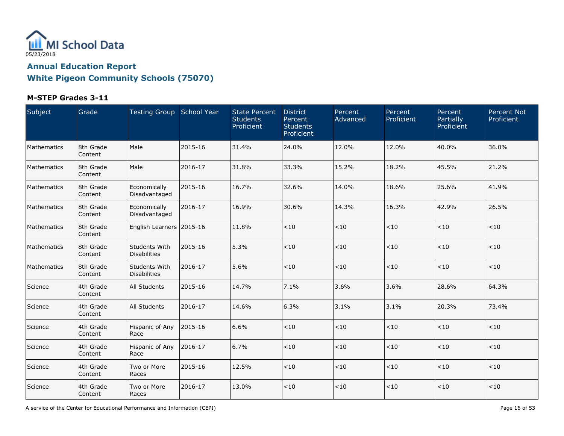

### **M-STEP Grades 3-11**

| Subject     | Grade                | Testing Group School Year            |         | <b>State Percent</b><br><b>Students</b><br>Proficient | <b>District</b><br>Percent<br><b>Students</b><br>Proficient | Percent<br>Advanced | Percent<br>Proficient | Percent<br>Partially<br>Proficient | <b>Percent Not</b><br>Proficient |
|-------------|----------------------|--------------------------------------|---------|-------------------------------------------------------|-------------------------------------------------------------|---------------------|-----------------------|------------------------------------|----------------------------------|
| Mathematics | 8th Grade<br>Content | Male                                 | 2015-16 | 31.4%                                                 | 24.0%                                                       | 12.0%               | 12.0%                 | 40.0%                              | 36.0%                            |
| Mathematics | 8th Grade<br>Content | Male                                 | 2016-17 | 31.8%                                                 | 33.3%                                                       | 15.2%               | 18.2%                 | 45.5%                              | 21.2%                            |
| Mathematics | 8th Grade<br>Content | Economically<br>Disadvantaged        | 2015-16 | 16.7%                                                 | 32.6%                                                       | 14.0%               | 18.6%                 | 25.6%                              | 41.9%                            |
| Mathematics | 8th Grade<br>Content | Economically<br>Disadvantaged        | 2016-17 | 16.9%                                                 | 30.6%                                                       | 14.3%               | 16.3%                 | 42.9%                              | 26.5%                            |
| Mathematics | 8th Grade<br>Content | English Learners 2015-16             |         | 11.8%                                                 | < 10                                                        | < 10                | < 10                  | $<\!10$                            | < 10                             |
| Mathematics | 8th Grade<br>Content | Students With<br><b>Disabilities</b> | 2015-16 | 5.3%                                                  | < 10                                                        | $<10$               | $<\!10$               | $<\!10$                            | < 10                             |
| Mathematics | 8th Grade<br>Content | Students With<br><b>Disabilities</b> | 2016-17 | 5.6%                                                  | < 10                                                        | < 10                | < 10                  | $<10$                              | < 10                             |
| Science     | 4th Grade<br>Content | <b>All Students</b>                  | 2015-16 | 14.7%                                                 | 7.1%                                                        | 3.6%                | 3.6%                  | 28.6%                              | 64.3%                            |
| Science     | 4th Grade<br>Content | <b>All Students</b>                  | 2016-17 | 14.6%                                                 | 6.3%                                                        | 3.1%                | 3.1%                  | 20.3%                              | 73.4%                            |
| Science     | 4th Grade<br>Content | Hispanic of Any<br>Race              | 2015-16 | 6.6%                                                  | < 10                                                        | < 10                | < 10                  | $<10$                              | < 10                             |
| Science     | 4th Grade<br>Content | Hispanic of Any<br>Race              | 2016-17 | 6.7%                                                  | < 10                                                        | $<10$               | $<10$                 | $<10$                              | $<10$                            |
| Science     | 4th Grade<br>Content | Two or More<br>Races                 | 2015-16 | 12.5%                                                 | < 10                                                        | $<10$               | $<10$                 | $<\!10$                            | $<10$                            |
| Science     | 4th Grade<br>Content | Two or More<br>Races                 | 2016-17 | 13.0%                                                 | < 10                                                        | $<10$               | < 10                  | $<10$                              | $<\!10$                          |

A service of the Center for Educational Performance and Information (CEPI) **Page 16 of 53** Page 16 of 53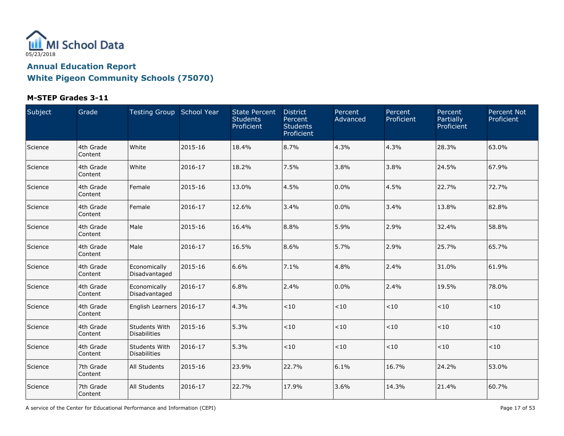

### **M-STEP Grades 3-11**

| Subject | Grade                | Testing Group School Year            |         | <b>State Percent</b><br><b>Students</b><br>Proficient | <b>District</b><br>Percent<br><b>Students</b><br>Proficient | Percent<br>Advanced | Percent<br>Proficient | Percent<br>Partially<br>Proficient | <b>Percent Not</b><br>Proficient |
|---------|----------------------|--------------------------------------|---------|-------------------------------------------------------|-------------------------------------------------------------|---------------------|-----------------------|------------------------------------|----------------------------------|
| Science | 4th Grade<br>Content | White                                | 2015-16 | 18.4%                                                 | 8.7%                                                        | 4.3%                | 4.3%                  | 28.3%                              | 63.0%                            |
| Science | 4th Grade<br>Content | White                                | 2016-17 | 18.2%                                                 | 7.5%                                                        | 3.8%                | 3.8%                  | 24.5%                              | 67.9%                            |
| Science | 4th Grade<br>Content | Female                               | 2015-16 | 13.0%                                                 | 4.5%                                                        | 0.0%                | 4.5%                  | 22.7%                              | 72.7%                            |
| Science | 4th Grade<br>Content | Female                               | 2016-17 | 12.6%                                                 | 3.4%                                                        | 0.0%                | 3.4%                  | 13.8%                              | 82.8%                            |
| Science | 4th Grade<br>Content | Male                                 | 2015-16 | 16.4%                                                 | 8.8%                                                        | 5.9%                | 2.9%                  | 32.4%                              | 58.8%                            |
| Science | 4th Grade<br>Content | Male                                 | 2016-17 | 16.5%                                                 | 8.6%                                                        | 5.7%                | 2.9%                  | 25.7%                              | 65.7%                            |
| Science | 4th Grade<br>Content | Economically<br>Disadvantaged        | 2015-16 | 6.6%                                                  | 7.1%                                                        | 4.8%                | 2.4%                  | 31.0%                              | 61.9%                            |
| Science | 4th Grade<br>Content | Economically<br>Disadvantaged        | 2016-17 | 6.8%                                                  | 2.4%                                                        | 0.0%                | 2.4%                  | 19.5%                              | 78.0%                            |
| Science | 4th Grade<br>Content | English Learners 2016-17             |         | 4.3%                                                  | < 10                                                        | $<10$               | < 10                  | $<10$                              | < 10                             |
| Science | 4th Grade<br>Content | Students With<br><b>Disabilities</b> | 2015-16 | 5.3%                                                  | < 10                                                        | < 10                | < 10                  | $<10$                              | < 10                             |
| Science | 4th Grade<br>Content | Students With<br>Disabilities        | 2016-17 | 5.3%                                                  | < 10                                                        | $<10$               | < 10                  | $<10$                              | $<10$                            |
| Science | 7th Grade<br>Content | <b>All Students</b>                  | 2015-16 | 23.9%                                                 | 22.7%                                                       | 6.1%                | 16.7%                 | 24.2%                              | 53.0%                            |
| Science | 7th Grade<br>Content | All Students                         | 2016-17 | 22.7%                                                 | 17.9%                                                       | 3.6%                | 14.3%                 | 21.4%                              | 60.7%                            |

A service of the Center for Educational Performance and Information (CEPI) **Page 17** of 53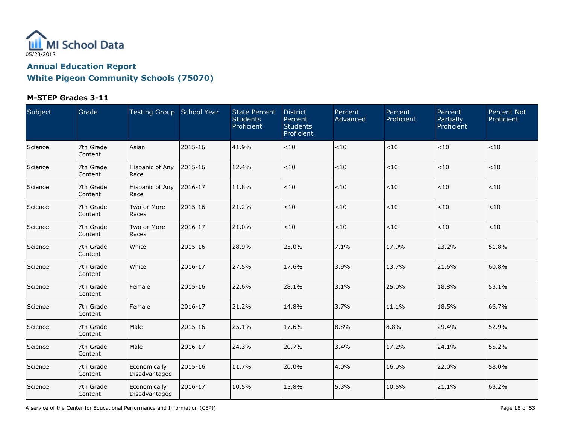

### **M-STEP Grades 3-11**

| Subject | Grade                | Testing Group School Year     |         | <b>State Percent</b><br><b>Students</b><br><b>Proficient</b> | <b>District</b><br>Percent<br><b>Students</b><br>Proficient | Percent<br>Advanced | Percent<br>Proficient | Percent<br>Partially<br>Proficient | Percent Not<br>Proficient |
|---------|----------------------|-------------------------------|---------|--------------------------------------------------------------|-------------------------------------------------------------|---------------------|-----------------------|------------------------------------|---------------------------|
| Science | 7th Grade<br>Content | Asian                         | 2015-16 | 41.9%                                                        | < 10                                                        | $<10$               | < 10                  | $<\!10$                            | < 10                      |
| Science | 7th Grade<br>Content | Hispanic of Any<br>Race       | 2015-16 | 12.4%                                                        | < 10                                                        | $<10$               | < 10                  | $<10$                              | $<10$                     |
| Science | 7th Grade<br>Content | Hispanic of Any<br>Race       | 2016-17 | 11.8%                                                        | < 10                                                        | $<10$               | < 10                  | $<\!10$                            | < 10                      |
| Science | 7th Grade<br>Content | Two or More<br>Races          | 2015-16 | 21.2%                                                        | < 10                                                        | $<10$               | < 10                  | $<10$                              | $<10$                     |
| Science | 7th Grade<br>Content | Two or More<br>Races          | 2016-17 | 21.0%                                                        | < 10                                                        | $<10$               | < 10                  | $<\!10$                            | ~10                       |
| Science | 7th Grade<br>Content | White                         | 2015-16 | 28.9%                                                        | 25.0%                                                       | 7.1%                | 17.9%                 | 23.2%                              | 51.8%                     |
| Science | 7th Grade<br>Content | White                         | 2016-17 | 27.5%                                                        | 17.6%                                                       | 3.9%                | 13.7%                 | 21.6%                              | 60.8%                     |
| Science | 7th Grade<br>Content | Female                        | 2015-16 | 22.6%                                                        | 28.1%                                                       | 3.1%                | 25.0%                 | 18.8%                              | 53.1%                     |
| Science | 7th Grade<br>Content | Female                        | 2016-17 | 21.2%                                                        | 14.8%                                                       | 3.7%                | 11.1%                 | 18.5%                              | 66.7%                     |
| Science | 7th Grade<br>Content | Male                          | 2015-16 | 25.1%                                                        | 17.6%                                                       | 8.8%                | 8.8%                  | 29.4%                              | 52.9%                     |
| Science | 7th Grade<br>Content | Male                          | 2016-17 | 24.3%                                                        | 20.7%                                                       | 3.4%                | 17.2%                 | 24.1%                              | 55.2%                     |
| Science | 7th Grade<br>Content | Economically<br>Disadvantaged | 2015-16 | 11.7%                                                        | 20.0%                                                       | 4.0%                | 16.0%                 | 22.0%                              | 58.0%                     |
| Science | 7th Grade<br>Content | Economically<br>Disadvantaged | 2016-17 | 10.5%                                                        | 15.8%                                                       | 5.3%                | 10.5%                 | 21.1%                              | 63.2%                     |

A service of the Center for Educational Performance and Information (CEPI) **Page 18 of 53** Page 18 of 53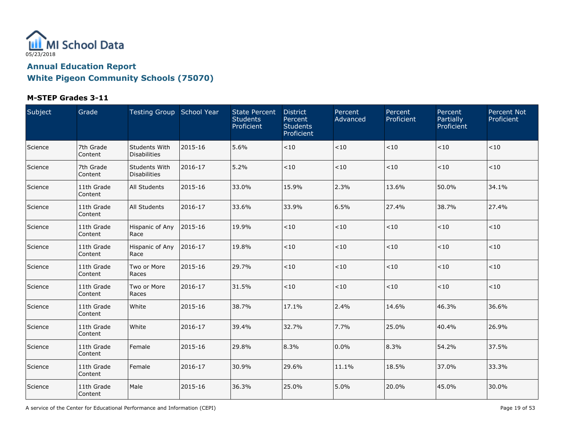

#### **M-STEP Grades 3-11**

| Subject | Grade                 | Testing Group School Year            |         | <b>State Percent</b><br><b>Students</b><br>Proficient | <b>District</b><br>Percent<br><b>Students</b><br>Proficient | Percent<br>Advanced | Percent<br>Proficient | Percent<br>Partially<br>Proficient | <b>Percent Not</b><br>Proficient |
|---------|-----------------------|--------------------------------------|---------|-------------------------------------------------------|-------------------------------------------------------------|---------------------|-----------------------|------------------------------------|----------------------------------|
| Science | 7th Grade<br>Content  | Students With<br><b>Disabilities</b> | 2015-16 | 5.6%                                                  | < 10                                                        | $<\!10$             | < 10                  | < 10                               | < 10                             |
| Science | 7th Grade<br>Content  | Students With<br><b>Disabilities</b> | 2016-17 | 5.2%                                                  | < 10                                                        | $<10$               | < 10                  | < 10                               | < 10                             |
| Science | 11th Grade<br>Content | All Students                         | 2015-16 | 33.0%                                                 | 15.9%                                                       | 2.3%                | 13.6%                 | 50.0%                              | 34.1%                            |
| Science | 11th Grade<br>Content | All Students                         | 2016-17 | 33.6%                                                 | 33.9%                                                       | 6.5%                | 27.4%                 | 38.7%                              | 27.4%                            |
| Science | 11th Grade<br>Content | Hispanic of Any<br>Race              | 2015-16 | 19.9%                                                 | $<10$                                                       | $<10$               | $<\!10$               | < 10                               | < 10                             |
| Science | 11th Grade<br>Content | Hispanic of Any<br>Race              | 2016-17 | 19.8%                                                 | < 10                                                        | $<\!10$             | $<\!10$               | < 10                               | < 10                             |
| Science | 11th Grade<br>Content | Two or More<br>Races                 | 2015-16 | 29.7%                                                 | < 10                                                        | $<10$               | $<10$                 | $<10$                              | < 10                             |
| Science | 11th Grade<br>Content | Two or More<br>Races                 | 2016-17 | 31.5%                                                 | < 10                                                        | $<10$               | < 10                  | < 10                               | < 10                             |
| Science | 11th Grade<br>Content | White                                | 2015-16 | 38.7%                                                 | 17.1%                                                       | 2.4%                | 14.6%                 | 46.3%                              | 36.6%                            |
| Science | 11th Grade<br>Content | White                                | 2016-17 | 39.4%                                                 | 32.7%                                                       | 7.7%                | 25.0%                 | 40.4%                              | 26.9%                            |
| Science | 11th Grade<br>Content | Female                               | 2015-16 | 29.8%                                                 | 8.3%                                                        | 0.0%                | 8.3%                  | 54.2%                              | 37.5%                            |
| Science | 11th Grade<br>Content | Female                               | 2016-17 | 30.9%                                                 | 29.6%                                                       | 11.1%               | 18.5%                 | 37.0%                              | 33.3%                            |
| Science | 11th Grade<br>Content | Male                                 | 2015-16 | 36.3%                                                 | 25.0%                                                       | 5.0%                | 20.0%                 | 45.0%                              | 30.0%                            |

A service of the Center for Educational Performance and Information (CEPI) **Page 19 of 53** Page 19 of 53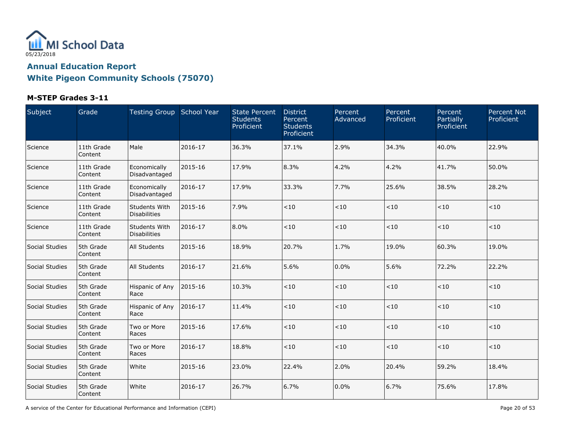

### **M-STEP Grades 3-11**

| Subject        | Grade                 | Testing Group School Year            |         | <b>State Percent</b><br><b>Students</b><br>Proficient | <b>District</b><br>Percent<br><b>Students</b><br>Proficient | Percent<br>Advanced | Percent<br>Proficient | Percent<br>Partially<br>Proficient | <b>Percent Not</b><br>Proficient |
|----------------|-----------------------|--------------------------------------|---------|-------------------------------------------------------|-------------------------------------------------------------|---------------------|-----------------------|------------------------------------|----------------------------------|
| Science        | 11th Grade<br>Content | Male                                 | 2016-17 | 36.3%                                                 | 37.1%                                                       | 2.9%                | 34.3%                 | 40.0%                              | 22.9%                            |
| Science        | 11th Grade<br>Content | Economically<br>Disadvantaged        | 2015-16 | 17.9%                                                 | 8.3%                                                        | 4.2%                | 4.2%                  | 41.7%                              | 50.0%                            |
| Science        | 11th Grade<br>Content | Economically<br>Disadvantaged        | 2016-17 | 17.9%                                                 | 33.3%                                                       | 7.7%                | 25.6%                 | 38.5%                              | 28.2%                            |
| Science        | 11th Grade<br>Content | Students With<br><b>Disabilities</b> | 2015-16 | 7.9%                                                  | < 10                                                        | < 10                | < 10                  | $<\!10$                            | < 10                             |
| Science        | 11th Grade<br>Content | Students With<br><b>Disabilities</b> | 2016-17 | 8.0%                                                  | < 10                                                        | < 10                | < 10                  | $<10$                              | < 10                             |
| Social Studies | 5th Grade<br>Content  | <b>All Students</b>                  | 2015-16 | 18.9%                                                 | 20.7%                                                       | 1.7%                | 19.0%                 | 60.3%                              | 19.0%                            |
| Social Studies | 5th Grade<br>Content  | All Students                         | 2016-17 | 21.6%                                                 | 5.6%                                                        | 0.0%                | 5.6%                  | 72.2%                              | 22.2%                            |
| Social Studies | 5th Grade<br>Content  | Hispanic of Any<br>Race              | 2015-16 | 10.3%                                                 | < 10                                                        | $<10$               | < 10                  | $<10$                              | < 10                             |
| Social Studies | 5th Grade<br>Content  | Hispanic of Any<br>Race              | 2016-17 | 11.4%                                                 | < 10                                                        | $<10$               | < 10                  | $<\!10$                            | $<10$                            |
| Social Studies | 5th Grade<br>Content  | Two or More<br>Races                 | 2015-16 | 17.6%                                                 | < 10                                                        | < 10                | < 10                  | $<\!10$                            | < 10                             |
| Social Studies | 5th Grade<br>Content  | Two or More<br>Races                 | 2016-17 | 18.8%                                                 | < 10                                                        | < 10                | < 10                  | < 10                               | < 10                             |
| Social Studies | 5th Grade<br>Content  | White                                | 2015-16 | 23.0%                                                 | 22.4%                                                       | 2.0%                | 20.4%                 | 59.2%                              | 18.4%                            |
| Social Studies | 5th Grade<br>Content  | White                                | 2016-17 | 26.7%                                                 | 6.7%                                                        | 0.0%                | 6.7%                  | 75.6%                              | 17.8%                            |

A service of the Center for Educational Performance and Information (CEPI) **Page 20 of 53** Page 20 of 53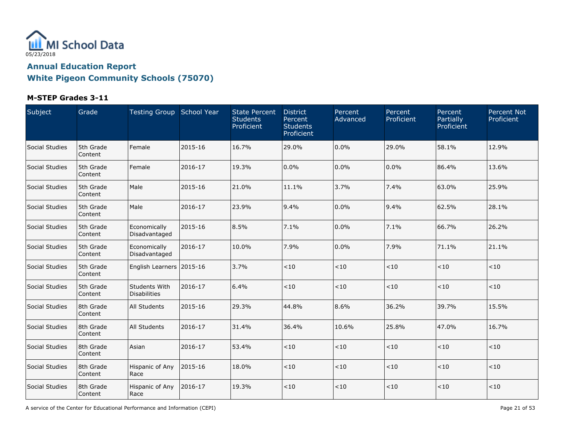

### **M-STEP Grades 3-11**

| Subject        | Grade                | Testing Group School Year            |         | <b>State Percent</b><br><b>Students</b><br>Proficient | <b>District</b><br>Percent<br><b>Students</b><br>Proficient | Percent<br>Advanced | Percent<br>Proficient | Percent<br>Partially<br>Proficient | <b>Percent Not</b><br>Proficient |
|----------------|----------------------|--------------------------------------|---------|-------------------------------------------------------|-------------------------------------------------------------|---------------------|-----------------------|------------------------------------|----------------------------------|
| Social Studies | 5th Grade<br>Content | Female                               | 2015-16 | 16.7%                                                 | 29.0%                                                       | 0.0%                | 29.0%                 | 58.1%                              | 12.9%                            |
| Social Studies | 5th Grade<br>Content | Female                               | 2016-17 | 19.3%                                                 | 0.0%                                                        | 0.0%                | 0.0%                  | 86.4%                              | 13.6%                            |
| Social Studies | 5th Grade<br>Content | Male                                 | 2015-16 | 21.0%                                                 | 11.1%                                                       | 3.7%                | 7.4%                  | 63.0%                              | 25.9%                            |
| Social Studies | 5th Grade<br>Content | Male                                 | 2016-17 | 23.9%                                                 | 9.4%                                                        | 0.0%                | 9.4%                  | 62.5%                              | 28.1%                            |
| Social Studies | 5th Grade<br>Content | Economically<br>Disadvantaged        | 2015-16 | 8.5%                                                  | 7.1%                                                        | 0.0%                | 7.1%                  | 66.7%                              | 26.2%                            |
| Social Studies | 5th Grade<br>Content | Economically<br>Disadvantaged        | 2016-17 | 10.0%                                                 | 7.9%                                                        | 0.0%                | 7.9%                  | 71.1%                              | 21.1%                            |
| Social Studies | 5th Grade<br>Content | English Learners 2015-16             |         | 3.7%                                                  | < 10                                                        | $<10$               | < 10                  | $<\!10$                            | $<10$                            |
| Social Studies | 5th Grade<br>Content | Students With<br><b>Disabilities</b> | 2016-17 | 6.4%                                                  | < 10                                                        | < 10                | < 10                  | < 10                               | < 10                             |
| Social Studies | 8th Grade<br>Content | All Students                         | 2015-16 | 29.3%                                                 | 44.8%                                                       | 8.6%                | 36.2%                 | 39.7%                              | 15.5%                            |
| Social Studies | 8th Grade<br>Content | All Students                         | 2016-17 | 31.4%                                                 | 36.4%                                                       | 10.6%               | 25.8%                 | 47.0%                              | 16.7%                            |
| Social Studies | 8th Grade<br>Content | Asian                                | 2016-17 | 53.4%                                                 | < 10                                                        | < 10                | < 10                  | $<\!10$                            | < 10                             |
| Social Studies | 8th Grade<br>Content | Hispanic of Any<br>Race              | 2015-16 | 18.0%                                                 | < 10                                                        | $<10$               | $<10$                 | $<10$                              | < 10                             |
| Social Studies | 8th Grade<br>Content | Hispanic of Any<br>Race              | 2016-17 | 19.3%                                                 | < 10                                                        | $<10$               | < 10                  | $<10$                              | $<\!10$                          |

A service of the Center for Educational Performance and Information (CEPI) **Page 21 of 53** Page 21 of 53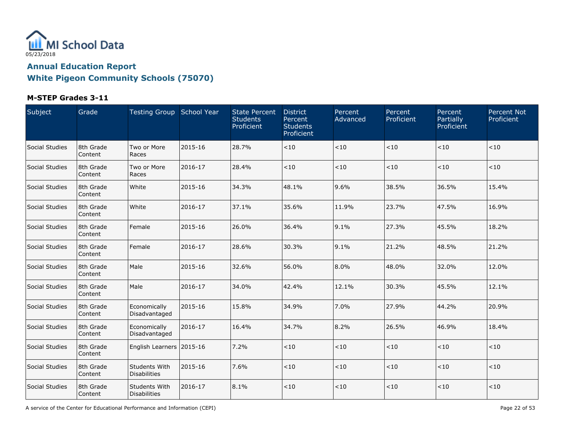

#### **M-STEP Grades 3-11**

| Subject        | Grade                | Testing Group School Year            |         | <b>State Percent</b><br><b>Students</b><br>Proficient | <b>District</b><br>Percent<br><b>Students</b><br>Proficient | Percent<br>Advanced | Percent<br>Proficient | Percent<br>Partially<br>Proficient | <b>Percent Not</b><br>Proficient |
|----------------|----------------------|--------------------------------------|---------|-------------------------------------------------------|-------------------------------------------------------------|---------------------|-----------------------|------------------------------------|----------------------------------|
| Social Studies | 8th Grade<br>Content | Two or More<br>Races                 | 2015-16 | 28.7%                                                 | < 10                                                        | < 10                | < 10                  | < 10                               | < 10                             |
| Social Studies | 8th Grade<br>Content | Two or More<br>Races                 | 2016-17 | 28.4%                                                 | < 10                                                        | < 10                | < 10                  | $<10$                              | < 10                             |
| Social Studies | 8th Grade<br>Content | White                                | 2015-16 | 34.3%                                                 | 48.1%                                                       | 9.6%                | 38.5%                 | 36.5%                              | 15.4%                            |
| Social Studies | 8th Grade<br>Content | White                                | 2016-17 | 37.1%                                                 | 35.6%                                                       | 11.9%               | 23.7%                 | 47.5%                              | 16.9%                            |
| Social Studies | 8th Grade<br>Content | Female                               | 2015-16 | 26.0%                                                 | 36.4%                                                       | 9.1%                | 27.3%                 | 45.5%                              | 18.2%                            |
| Social Studies | 8th Grade<br>Content | Female                               | 2016-17 | 28.6%                                                 | 30.3%                                                       | 9.1%                | 21.2%                 | 48.5%                              | 21.2%                            |
| Social Studies | 8th Grade<br>Content | Male                                 | 2015-16 | 32.6%                                                 | 56.0%                                                       | 8.0%                | 48.0%                 | 32.0%                              | 12.0%                            |
| Social Studies | 8th Grade<br>Content | Male                                 | 2016-17 | 34.0%                                                 | 42.4%                                                       | 12.1%               | 30.3%                 | 45.5%                              | 12.1%                            |
| Social Studies | 8th Grade<br>Content | Economically<br>Disadvantaged        | 2015-16 | 15.8%                                                 | 34.9%                                                       | 7.0%                | 27.9%                 | 44.2%                              | 20.9%                            |
| Social Studies | 8th Grade<br>Content | Economically<br>Disadvantaged        | 2016-17 | 16.4%                                                 | 34.7%                                                       | 8.2%                | 26.5%                 | 46.9%                              | 18.4%                            |
| Social Studies | 8th Grade<br>Content | English Learners 2015-16             |         | 7.2%                                                  | < 10                                                        | < 10                | $<10$                 | $<10$                              | < 10                             |
| Social Studies | 8th Grade<br>Content | Students With<br><b>Disabilities</b> | 2015-16 | 7.6%                                                  | < 10                                                        | < 10                | $<10$                 | $<10$                              | < 10                             |
| Social Studies | 8th Grade<br>Content | Students With<br><b>Disabilities</b> | 2016-17 | 8.1%                                                  | < 10                                                        | < 10                | < 10                  | $<10$                              | $<10$                            |

A service of the Center for Educational Performance and Information (CEPI) **Page 22 of 53** Page 22 of 53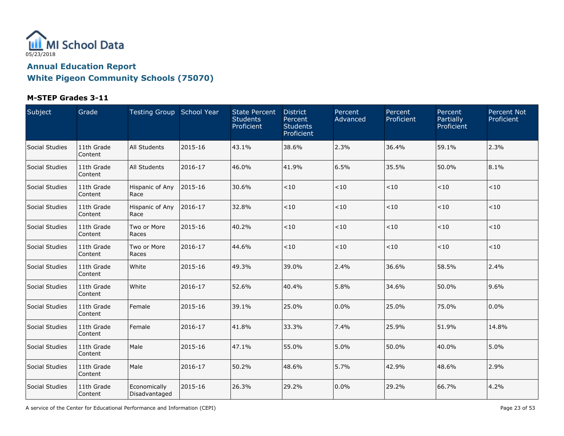

### **M-STEP Grades 3-11**

| Subject        | Grade                 | Testing Group School Year     |         | <b>State Percent</b><br><b>Students</b><br>Proficient | <b>District</b><br>Percent<br><b>Students</b><br>Proficient | Percent<br>Advanced | Percent<br>Proficient | Percent<br>Partially<br>Proficient | <b>Percent Not</b><br>Proficient |
|----------------|-----------------------|-------------------------------|---------|-------------------------------------------------------|-------------------------------------------------------------|---------------------|-----------------------|------------------------------------|----------------------------------|
| Social Studies | 11th Grade<br>Content | All Students                  | 2015-16 | 43.1%                                                 | 38.6%                                                       | 2.3%                | 36.4%                 | 59.1%                              | 2.3%                             |
| Social Studies | 11th Grade<br>Content | All Students                  | 2016-17 | 46.0%                                                 | 41.9%                                                       | 6.5%                | 35.5%                 | 50.0%                              | 8.1%                             |
| Social Studies | 11th Grade<br>Content | Hispanic of Any<br>Race       | 2015-16 | 30.6%                                                 | < 10                                                        | < 10                | < 10                  | $<10$                              | < 10                             |
| Social Studies | 11th Grade<br>Content | Hispanic of Any<br>Race       | 2016-17 | 32.8%                                                 | < 10                                                        | < 10                | $<10$                 | $<10$                              | < 10                             |
| Social Studies | 11th Grade<br>Content | Two or More<br>Races          | 2015-16 | 40.2%                                                 | < 10                                                        | < 10                | $<\!10$               | $<\!10$                            | $<10$                            |
| Social Studies | 11th Grade<br>Content | Two or More<br>Races          | 2016-17 | 44.6%                                                 | $<10$                                                       | < 10                | $<\!10$               | $<\!10$                            | $<10$                            |
| Social Studies | 11th Grade<br>Content | White                         | 2015-16 | 49.3%                                                 | 39.0%                                                       | 2.4%                | 36.6%                 | 58.5%                              | 2.4%                             |
| Social Studies | 11th Grade<br>Content | White                         | 2016-17 | 52.6%                                                 | 40.4%                                                       | 5.8%                | 34.6%                 | 50.0%                              | 9.6%                             |
| Social Studies | 11th Grade<br>Content | Female                        | 2015-16 | 39.1%                                                 | 25.0%                                                       | 0.0%                | 25.0%                 | 75.0%                              | 0.0%                             |
| Social Studies | 11th Grade<br>Content | Female                        | 2016-17 | 41.8%                                                 | 33.3%                                                       | 7.4%                | 25.9%                 | 51.9%                              | 14.8%                            |
| Social Studies | 11th Grade<br>Content | Male                          | 2015-16 | 47.1%                                                 | 55.0%                                                       | 5.0%                | 50.0%                 | 40.0%                              | 5.0%                             |
| Social Studies | 11th Grade<br>Content | Male                          | 2016-17 | 50.2%                                                 | 48.6%                                                       | 5.7%                | 42.9%                 | 48.6%                              | 2.9%                             |
| Social Studies | 11th Grade<br>Content | Economically<br>Disadvantaged | 2015-16 | 26.3%                                                 | 29.2%                                                       | 0.0%                | 29.2%                 | 66.7%                              | 4.2%                             |

A service of the Center for Educational Performance and Information (CEPI) **Page 23 of 53** Page 23 of 53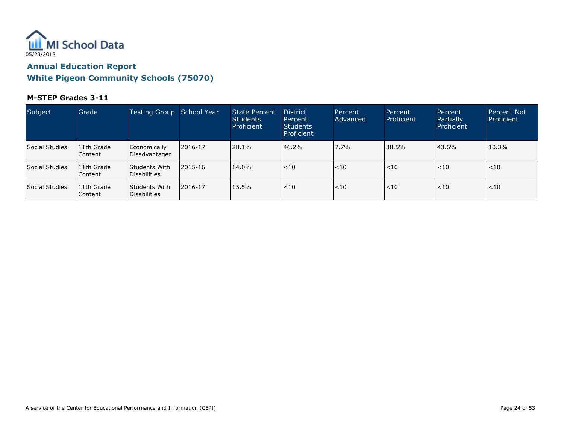

#### **M-STEP Grades 3-11**

| Subject        | Grade                   | Testing Group School Year              |         | State Percent<br><b>Students</b><br>Proficient | <b>District</b><br>Percent<br><b>Students</b><br>Proficient | Percent<br>Advanced | Percent<br>Proficient | Percent<br>Partially<br>Proficient | <b>Percent Not</b><br>Proficient |
|----------------|-------------------------|----------------------------------------|---------|------------------------------------------------|-------------------------------------------------------------|---------------------|-----------------------|------------------------------------|----------------------------------|
| Social Studies | 11th Grade<br>l Content | Economically<br>Disadvantaged          | 2016-17 | 28.1%                                          | 46.2%                                                       | 7.7%                | 38.5%                 | 43.6%                              | 10.3%                            |
| Social Studies | 11th Grade<br>l Content | <b>Students With</b><br>l Disabilities | 2015-16 | 14.0%                                          | $ $ < 10                                                    | < 10                | < 10                  | < 10                               | < 10                             |
| Social Studies | 11th Grade<br>l Content | lStudents With<br>Disabilities         | 2016-17 | 15.5%                                          | $ $ < 10                                                    | < 10                | < 10                  | ~10                                | $<$ 10                           |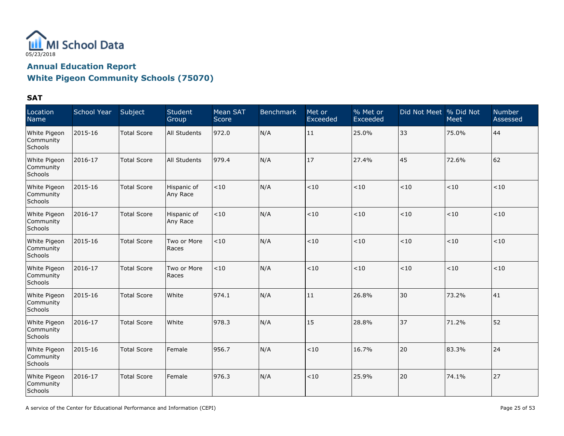

### **White Pigeon Community Schools (75070)**

| Location<br>Name                     | School Year | Subject            | <b>Student</b><br>Group | Mean SAT<br>Score | Benchmark | Met or<br>Exceeded | % Met or<br>Exceeded | Did Not Meet % Did Not | Meet    | <b>Number</b><br>Assessed |
|--------------------------------------|-------------|--------------------|-------------------------|-------------------|-----------|--------------------|----------------------|------------------------|---------|---------------------------|
| White Pigeon<br>Community<br>Schools | 2015-16     | <b>Total Score</b> | All Students            | 972.0             | N/A       | 11                 | 25.0%                | 33                     | 75.0%   | 44                        |
| White Pigeon<br>Community<br>Schools | 2016-17     | <b>Total Score</b> | All Students            | 979.4             | N/A       | 17                 | 27.4%                | 45                     | 72.6%   | 62                        |
| White Pigeon<br>Community<br>Schools | 2015-16     | <b>Total Score</b> | Hispanic of<br>Any Race | $<10$             | N/A       | < 10               | $<10$                | < 10                   | $<\!10$ | < 10                      |
| White Pigeon<br>Community<br>Schools | 2016-17     | <b>Total Score</b> | Hispanic of<br>Any Race | < 10              | N/A       | < 10               | < 10                 | < 10                   | < 10    | < 10                      |
| White Pigeon<br>Community<br>Schools | 2015-16     | <b>Total Score</b> | Two or More<br>Races    | < 10              | N/A       | < 10               | < 10                 | < 10                   | < 10    | < 10                      |
| White Pigeon<br>Community<br>Schools | 2016-17     | <b>Total Score</b> | Two or More<br>Races    | $<$ 10            | N/A       | < 10               | < 10                 | < 10                   | $<10$   | < 10                      |
| White Pigeon<br>Community<br>Schools | 2015-16     | <b>Total Score</b> | White                   | 974.1             | N/A       | 11                 | 26.8%                | 30                     | 73.2%   | 41                        |
| White Pigeon<br>Community<br>Schools | 2016-17     | <b>Total Score</b> | White                   | 978.3             | N/A       | 15                 | 28.8%                | 37                     | 71.2%   | 52                        |
| White Pigeon<br>Community<br>Schools | 2015-16     | <b>Total Score</b> | Female                  | 956.7             | N/A       | < 10               | 16.7%                | 20                     | 83.3%   | 24                        |
| White Pigeon<br>Community<br>Schools | 2016-17     | <b>Total Score</b> | Female                  | 976.3             | N/A       | $<10$              | 25.9%                | 20                     | 74.1%   | 27                        |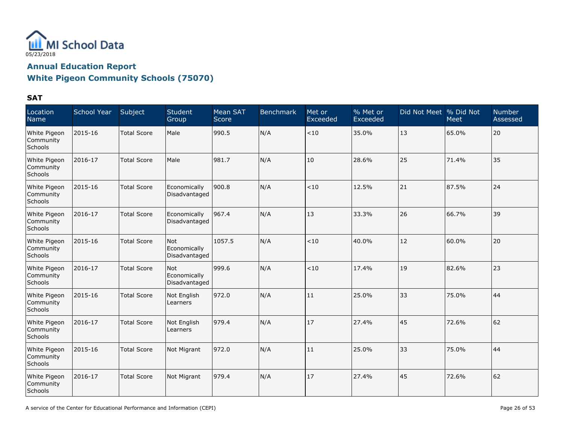

### **White Pigeon Community Schools (75070)**

| Location<br>Name                     | School Year | Subject            | <b>Student</b><br>Group                     | Mean SAT<br>Score | <b>Benchmark</b> | Met or<br>Exceeded | % Met or<br>Exceeded | Did Not Meet % Did Not | Meet  | <b>Number</b><br>Assessed |
|--------------------------------------|-------------|--------------------|---------------------------------------------|-------------------|------------------|--------------------|----------------------|------------------------|-------|---------------------------|
| White Pigeon<br>Community<br>Schools | 2015-16     | <b>Total Score</b> | Male                                        | 990.5             | N/A              | < 10               | 35.0%                | 13                     | 65.0% | 20                        |
| White Pigeon<br>Community<br>Schools | 2016-17     | <b>Total Score</b> | Male                                        | 981.7             | N/A              | 10                 | 28.6%                | 25                     | 71.4% | 35                        |
| White Pigeon<br>Community<br>Schools | 2015-16     | <b>Total Score</b> | Economically<br>Disadvantaged               | 900.8             | N/A              | < 10               | 12.5%                | 21                     | 87.5% | 24                        |
| White Pigeon<br>Community<br>Schools | 2016-17     | <b>Total Score</b> | Economically<br>Disadvantaged               | 967.4             | N/A              | 13                 | 33.3%                | 26                     | 66.7% | 39                        |
| White Pigeon<br>Community<br>Schools | 2015-16     | <b>Total Score</b> | Not<br>Economically<br>Disadvantaged        | 1057.5            | N/A              | < 10               | 40.0%                | 12                     | 60.0% | 20                        |
| White Pigeon<br>Community<br>Schools | 2016-17     | <b>Total Score</b> | <b>Not</b><br>Economically<br>Disadvantaged | 999.6             | N/A              | < 10               | 17.4%                | 19                     | 82.6% | 23                        |
| White Pigeon<br>Community<br>Schools | 2015-16     | <b>Total Score</b> | Not English<br>Learners                     | 972.0             | N/A              | 11                 | 25.0%                | 33                     | 75.0% | 44                        |
| White Pigeon<br>Community<br>Schools | 2016-17     | <b>Total Score</b> | Not English<br>Learners                     | 979.4             | N/A              | 17                 | 27.4%                | 45                     | 72.6% | 62                        |
| White Pigeon<br>Community<br>Schools | 2015-16     | <b>Total Score</b> | Not Migrant                                 | 972.0             | N/A              | 11                 | 25.0%                | 33                     | 75.0% | 44                        |
| White Pigeon<br>Community<br>Schools | 2016-17     | <b>Total Score</b> | Not Migrant                                 | 979.4             | N/A              | 17                 | 27.4%                | 45                     | 72.6% | 62                        |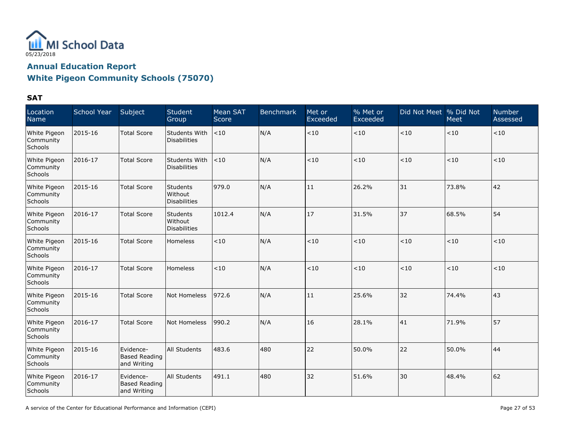

# **White Pigeon Community Schools (75070)**

| Location<br>Name                     | School Year | Subject                                          | Student<br>Group                                  | <b>Mean SAT</b><br>Score | <b>Benchmark</b> | Met or<br>Exceeded | % Met or<br>Exceeded | Did Not Meet % Did Not | <b>Meet</b> | <b>Number</b><br>Assessed |
|--------------------------------------|-------------|--------------------------------------------------|---------------------------------------------------|--------------------------|------------------|--------------------|----------------------|------------------------|-------------|---------------------------|
| White Pigeon<br>Community<br>Schools | 2015-16     | <b>Total Score</b>                               | Students With<br><b>Disabilities</b>              | < 10                     | N/A              | $<10$              | $<\!10$              | < 10                   | $<10$       | $<\!10$                   |
| White Pigeon<br>Community<br>Schools | 2016-17     | <b>Total Score</b>                               | <b>Students With</b><br><b>Disabilities</b>       | < 10                     | N/A              | < 10               | $<10$                | < 10                   | < 10        | < 10                      |
| White Pigeon<br>Community<br>Schools | 2015-16     | <b>Total Score</b>                               | Students<br>Without<br><b>Disabilities</b>        | 979.0                    | N/A              | 11                 | 26.2%                | 31                     | 73.8%       | 42                        |
| White Pigeon<br>Community<br>Schools | 2016-17     | <b>Total Score</b>                               | <b>Students</b><br>Without<br><b>Disabilities</b> | 1012.4                   | N/A              | 17                 | 31.5%                | 37                     | 68.5%       | 54                        |
| White Pigeon<br>Community<br>Schools | 2015-16     | <b>Total Score</b>                               | <b>Homeless</b>                                   | < 10                     | N/A              | <10                | < 10                 | < 10                   | ~10         | < 10                      |
| White Pigeon<br>Community<br>Schools | 2016-17     | <b>Total Score</b>                               | Homeless                                          | < 10                     | N/A              | < 10               | $<10$                | < 10                   | < 10        | < 10                      |
| White Pigeon<br>Community<br>Schools | 2015-16     | <b>Total Score</b>                               | Not Homeless                                      | 972.6                    | N/A              | 11                 | 25.6%                | 32                     | 74.4%       | 43                        |
| White Pigeon<br>Community<br>Schools | 2016-17     | <b>Total Score</b>                               | Not Homeless                                      | 990.2                    | N/A              | 16                 | 28.1%                | 41                     | 71.9%       | 57                        |
| White Pigeon<br>Community<br>Schools | 2015-16     | Evidence-<br><b>Based Reading</b><br>and Writing | All Students                                      | 483.6                    | 480              | 22                 | 50.0%                | 22                     | 50.0%       | 44                        |
| White Pigeon<br>Community<br>Schools | 2016-17     | Evidence-<br><b>Based Reading</b><br>and Writing | All Students                                      | 491.1                    | 480              | 32                 | 51.6%                | 30                     | 48.4%       | 62                        |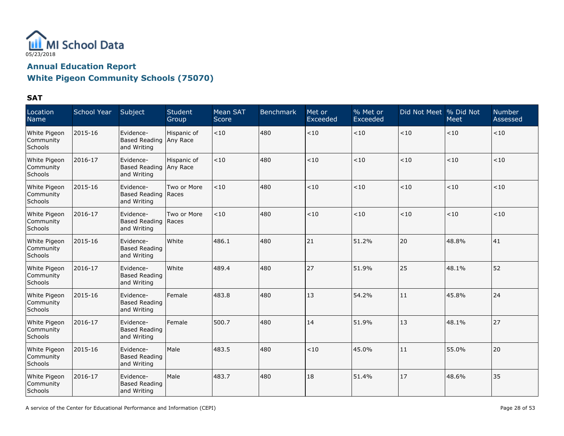

| Location<br>Name                     | <b>School Year</b> | Subject                                            | Student<br>Group | Mean SAT<br>Score | <b>Benchmark</b> | Met or<br>Exceeded | % Met or<br>Exceeded | Did Not Meet % Did Not | <b>Meet</b> | <b>Number</b><br>Assessed |
|--------------------------------------|--------------------|----------------------------------------------------|------------------|-------------------|------------------|--------------------|----------------------|------------------------|-------------|---------------------------|
| White Pigeon<br>Community<br>Schools | 2015-16            | Evidence-<br>Based Reading Any Race<br>and Writing | Hispanic of      | < 10              | 480              | $<10$              | < 10                 | < 10                   | $ $ < 10    | <10                       |
| White Pigeon<br>Community<br>Schools | 2016-17            | Evidence-<br>Based Reading Any Race<br>and Writing | Hispanic of      | < 10              | 480              | < 10               | < 10                 | < 10                   | $ $ < 10    | < 10                      |
| White Pigeon<br>Community<br>Schools | 2015-16            | Evidence-<br>Based Reading   Races<br>and Writing  | Two or More      | < 10              | 480              | < 10               | < 10                 | < 10                   | $ $ < 10    | < 10                      |
| White Pigeon<br>Community<br>Schools | 2016-17            | Evidence-<br>Based Reading Races<br>and Writing    | Two or More      | < 10              | 480              | $<10$              | < 10                 | < 10                   | $ $ < 10    | < 10                      |
| White Pigeon<br>Community<br>Schools | 2015-16            | Evidence-<br><b>Based Reading</b><br>and Writing   | White            | 486.1             | 480              | 21                 | 51.2%                | 20                     | 48.8%       | 41                        |
| White Pigeon<br>Community<br>Schools | 2016-17            | Evidence-<br><b>Based Reading</b><br>and Writing   | White            | 489.4             | 480              | 27                 | 51.9%                | 25                     | 48.1%       | 52                        |
| White Pigeon<br>Community<br>Schools | 2015-16            | Evidence-<br><b>Based Reading</b><br>and Writing   | Female           | 483.8             | 480              | 13                 | 54.2%                | 11                     | 45.8%       | 24                        |
| White Pigeon<br>Community<br>Schools | 2016-17            | Evidence-<br><b>Based Reading</b><br>and Writing   | Female           | 500.7             | 480              | 14                 | 51.9%                | 13                     | 48.1%       | 27                        |
| White Pigeon<br>Community<br>Schools | 2015-16            | Evidence-<br><b>Based Reading</b><br>and Writing   | Male             | 483.5             | 480              | < 10               | 45.0%                | 11                     | 55.0%       | 20                        |
| White Pigeon<br>Community<br>Schools | 2016-17            | Evidence-<br>Based Reading<br>and Writing          | Male             | 483.7             | 480              | 18                 | 51.4%                | 17                     | 48.6%       | 35                        |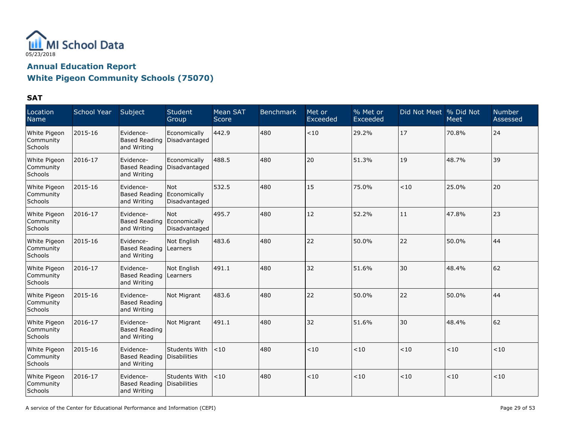

| Location<br>Name                     | <b>School Year</b> | Subject                                                | Student<br>Group                     | Mean SAT<br>Score | <b>Benchmark</b> | Met or<br>Exceeded | % Met or<br>Exceeded | Did Not Meet % Did Not | Meet  | <b>Number</b><br>Assessed |
|--------------------------------------|--------------------|--------------------------------------------------------|--------------------------------------|-------------------|------------------|--------------------|----------------------|------------------------|-------|---------------------------|
| White Pigeon<br>Community<br>Schools | 2015-16            | Evidence-<br><b>Based Reading</b><br>and Writing       | Economically<br>Disadvantaged        | 442.9             | 480              | < 10               | 29.2%                | 17                     | 70.8% | 24                        |
| White Pigeon<br>Community<br>Schools | 2016-17            | Evidence-<br><b>Based Reading</b><br>and Writing       | Economically<br>Disadvantaged        | 488.5             | 480              | 20                 | 51.3%                | 19                     | 48.7% | 39                        |
| White Pigeon<br>Community<br>Schools | 2015-16            | Evidence-<br>Based Reading<br>and Writing              | Not<br>Economically<br>Disadvantaged | 532.5             | 480              | 15                 | 75.0%                | < 10                   | 25.0% | 20                        |
| White Pigeon<br>Community<br>Schools | 2016-17            | Evidence-<br>Based Reading Economically<br>and Writing | Not<br>Disadvantaged                 | 495.7             | 480              | 12                 | 52.2%                | 11                     | 47.8% | 23                        |
| White Pigeon<br>Community<br>Schools | 2015-16            | Evidence-<br>Based Reading<br>and Writing              | Not English<br>Learners              | 483.6             | 480              | 22                 | 50.0%                | 22                     | 50.0% | 44                        |
| White Pigeon<br>Community<br>Schools | 2016-17            | Evidence-<br>Based Reading<br>and Writing              | Not English<br>Learners              | 491.1             | 480              | 32                 | 51.6%                | 30                     | 48.4% | 62                        |
| White Pigeon<br>Community<br>Schools | 2015-16            | Evidence-<br><b>Based Reading</b><br>and Writing       | Not Migrant                          | 483.6             | 480              | 22                 | 50.0%                | 22                     | 50.0% | 44                        |
| White Pigeon<br>Community<br>Schools | 2016-17            | Evidence-<br><b>Based Reading</b><br>and Writing       | Not Migrant                          | 491.1             | 480              | 32                 | 51.6%                | 30                     | 48.4% | 62                        |
| White Pigeon<br>Community<br>Schools | 2015-16            | Evidence-<br>Based Reading<br>and Writing              | Students With<br>Disabilities        | < 10              | 480              | < 10               | < 10                 | $<10$                  | $<10$ | < 10                      |
| White Pigeon<br>Community<br>Schools | 2016-17            | Evidence-<br>Based Reading Disabilities<br>and Writing | Students With                        | < 10              | 480              | < 10               | < 10                 | < 10                   | $<10$ | < 10                      |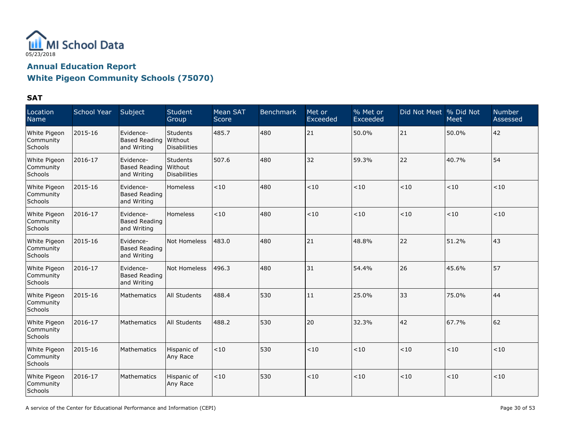

| Location<br>Name                     | School Year | Subject                                          | <b>Student</b><br>Group                      | Mean SAT<br>Score | <b>Benchmark</b> | Met or<br>Exceeded | $\frac{9}{6}$ Met or<br>Exceeded | Did Not Meet % Did Not | Meet  | <b>Number</b><br>Assessed |
|--------------------------------------|-------------|--------------------------------------------------|----------------------------------------------|-------------------|------------------|--------------------|----------------------------------|------------------------|-------|---------------------------|
| White Pigeon<br>Community<br>Schools | 2015-16     | Evidence-<br><b>Based Reading</b><br>and Writing | <b>Students</b><br>l Without<br>Disabilities | 485.7             | 480              | 21                 | 50.0%                            | 21                     | 50.0% | 42                        |
| White Pigeon<br>Community<br>Schools | 2016-17     | Evidence-<br><b>Based Reading</b><br>and Writing | Students<br>Without<br><b>Disabilities</b>   | 507.6             | 480              | 32                 | 59.3%                            | 22                     | 40.7% | 54                        |
| White Pigeon<br>Community<br>Schools | 2015-16     | Evidence-<br><b>Based Reading</b><br>and Writing | Homeless                                     | < 10              | 480              | < 10               | < 10                             | < 10                   | $<10$ | < 10                      |
| White Pigeon<br>Community<br>Schools | 2016-17     | Evidence-<br><b>Based Reading</b><br>and Writing | <b>Homeless</b>                              | < 10              | 480              | $<10$              | < 10                             | < 10                   | < 10  | < 10                      |
| White Pigeon<br>Community<br>Schools | 2015-16     | Evidence-<br><b>Based Reading</b><br>and Writing | Not Homeless                                 | 483.0             | 480              | 21                 | 48.8%                            | 22                     | 51.2% | 43                        |
| White Pigeon<br>Community<br>Schools | 2016-17     | Evidence-<br><b>Based Reading</b><br>and Writing | Not Homeless                                 | 496.3             | 480              | 31                 | 54.4%                            | 26                     | 45.6% | 57                        |
| White Pigeon<br>Community<br>Schools | 2015-16     | Mathematics                                      | All Students                                 | 488.4             | 530              | 11                 | 25.0%                            | 33                     | 75.0% | 44                        |
| White Pigeon<br>Community<br>Schools | 2016-17     | Mathematics                                      | All Students                                 | 488.2             | 530              | 20                 | 32.3%                            | 42                     | 67.7% | 62                        |
| White Pigeon<br>Community<br>Schools | 2015-16     | Mathematics                                      | Hispanic of<br>Any Race                      | < 10              | 530              | < 10               | < 10                             | < 10                   | $<10$ | ~10                       |
| White Pigeon<br>Community<br>Schools | 2016-17     | Mathematics                                      | Hispanic of<br>Any Race                      | < 10              | 530              | < 10               | < 10                             | < 10                   | $<10$ | $<\!10$                   |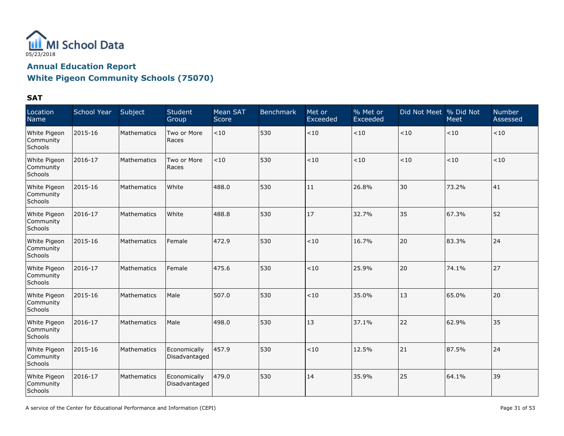

# **White Pigeon Community Schools (75070)**

| Location<br>Name                     | School Year | Subject            | Student<br>Group              | Mean SAT<br>Score | <b>Benchmark</b> | Met or<br>Exceeded | % Met or<br>Exceeded | Did Not Meet % Did Not | Meet  | <b>Number</b><br>Assessed |
|--------------------------------------|-------------|--------------------|-------------------------------|-------------------|------------------|--------------------|----------------------|------------------------|-------|---------------------------|
| White Pigeon<br>Community<br>Schools | 2015-16     | Mathematics        | Two or More<br>Races          | < 10              | 530              | $<10$              | < 10                 | < 10                   | $<10$ | $<10$                     |
| White Pigeon<br>Community<br>Schools | 2016-17     | Mathematics        | Two or More<br>Races          | < 10              | 530              | < 10               | < 10                 | < 10                   | < 10  | $<$ 10                    |
| White Pigeon<br>Community<br>Schools | 2015-16     | Mathematics        | White                         | 488.0             | 530              | 11                 | 26.8%                | 30                     | 73.2% | 41                        |
| White Pigeon<br>Community<br>Schools | 2016-17     | Mathematics        | White                         | 488.8             | 530              | 17                 | 32.7%                | 35                     | 67.3% | 52                        |
| White Pigeon<br>Community<br>Schools | 2015-16     | Mathematics        | Female                        | 472.9             | 530              | < 10               | 16.7%                | 20                     | 83.3% | 24                        |
| White Pigeon<br>Community<br>Schools | 2016-17     | Mathematics        | Female                        | 475.6             | 530              | ~10                | 25.9%                | 20                     | 74.1% | 27                        |
| White Pigeon<br>Community<br>Schools | 2015-16     | Mathematics        | Male                          | 507.0             | 530              | < 10               | 35.0%                | 13                     | 65.0% | 20                        |
| White Pigeon<br>Community<br>Schools | 2016-17     | Mathematics        | Male                          | 498.0             | 530              | 13                 | 37.1%                | 22                     | 62.9% | 35                        |
| White Pigeon<br>Community<br>Schools | 2015-16     | Mathematics        | Economically<br>Disadvantaged | 457.9             | 530              | ~10                | 12.5%                | 21                     | 87.5% | 24                        |
| White Pigeon<br>Community<br>Schools | 2016-17     | <b>Mathematics</b> | Economically<br>Disadvantaged | 479.0             | 530              | 14                 | 35.9%                | 25                     | 64.1% | 39                        |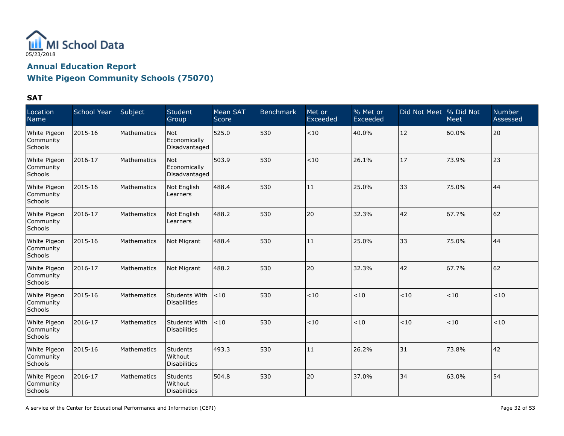

| Location<br>Name                     | <b>School Year</b> | Subject     | <b>Student</b><br>Group                           | Mean SAT<br>Score | <b>Benchmark</b> | Met or<br>Exceeded | % Met or<br>Exceeded | Did Not Meet   % Did Not | Meet  | <b>Number</b><br>Assessed |
|--------------------------------------|--------------------|-------------|---------------------------------------------------|-------------------|------------------|--------------------|----------------------|--------------------------|-------|---------------------------|
| White Pigeon<br>Community<br>Schools | 2015-16            | Mathematics | <b>Not</b><br>Economically<br>Disadvantaged       | 525.0             | 530              | $<\!10$            | 40.0%                | 12                       | 60.0% | 20                        |
| White Pigeon<br>Community<br>Schools | 2016-17            | Mathematics | <b>Not</b><br>Economically<br>Disadvantaged       | 503.9             | 530              | < 10               | 26.1%                | 17                       | 73.9% | 23                        |
| White Pigeon<br>Community<br>Schools | 2015-16            | Mathematics | Not English<br>Learners                           | 488.4             | 530              | 11                 | 25.0%                | 33                       | 75.0% | 44                        |
| White Pigeon<br>Community<br>Schools | 2016-17            | Mathematics | Not English<br>Learners                           | 488.2             | 530              | 20                 | 32.3%                | 42                       | 67.7% | 62                        |
| White Pigeon<br>Community<br>Schools | 2015-16            | Mathematics | Not Migrant                                       | 488.4             | 530              | 11                 | 25.0%                | 33                       | 75.0% | 44                        |
| White Pigeon<br>Community<br>Schools | 2016-17            | Mathematics | Not Migrant                                       | 488.2             | 530              | 20                 | 32.3%                | 42                       | 67.7% | 62                        |
| White Pigeon<br>Community<br>Schools | 2015-16            | Mathematics | Students With<br><b>Disabilities</b>              | < 10              | 530              | < 10               | < 10                 | < 10                     | < 10  | < 10                      |
| White Pigeon<br>Community<br>Schools | 2016-17            | Mathematics | Students With<br><b>Disabilities</b>              | < 10              | 530              | < 10               | < 10                 | < 10                     | < 10  | < 10                      |
| White Pigeon<br>Community<br>Schools | 2015-16            | Mathematics | <b>Students</b><br>Without<br><b>Disabilities</b> | 493.3             | 530              | 11                 | 26.2%                | 31                       | 73.8% | 42                        |
| White Pigeon<br>Community<br>Schools | 2016-17            | Mathematics | <b>Students</b><br>Without<br>Disabilities        | 504.8             | 530              | 20                 | 37.0%                | 34                       | 63.0% | 54                        |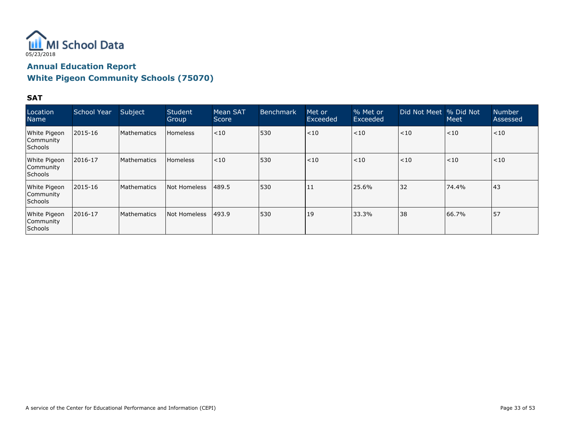

### **White Pigeon Community Schools (75070)**

| Location<br><b>Name</b>                      | School Year   | Subject            | Student<br>Group | Mean SAT<br>Score | <b>Benchmark</b> | Met or<br>Exceeded | % Met or<br>Exceeded | Did Not Meet % Did Not | <b>Meet</b> | <b>Number</b><br>Assessed |
|----------------------------------------------|---------------|--------------------|------------------|-------------------|------------------|--------------------|----------------------|------------------------|-------------|---------------------------|
| White Pigeon<br> Community<br><b>Schools</b> | 2015-16       | <b>Mathematics</b> | Homeless         | < 10              | 530              | < 10               | < 10                 | < 10                   | < 10        | $<$ 10                    |
| White Pigeon<br>Community<br><b>Schools</b>  | 2016-17       | <b>Mathematics</b> | <b>Homeless</b>  | < 10              | 530              | < 10               | $<$ 10               | < 10                   | < 10        | $<$ 10                    |
| White Pigeon<br> Community<br><b>Schools</b> | $ 2015 - 16 $ | <b>Mathematics</b> | Not Homeless     | 489.5             | 530              | 11                 | 25.6%                | 32                     | 74.4%       | 43                        |
| White Pigeon<br>Community<br>Schools         | 2016-17       | <b>Mathematics</b> | Not Homeless     | 493.9             | 530              | 19                 | 33.3%                | 38                     | 66.7%       | 57                        |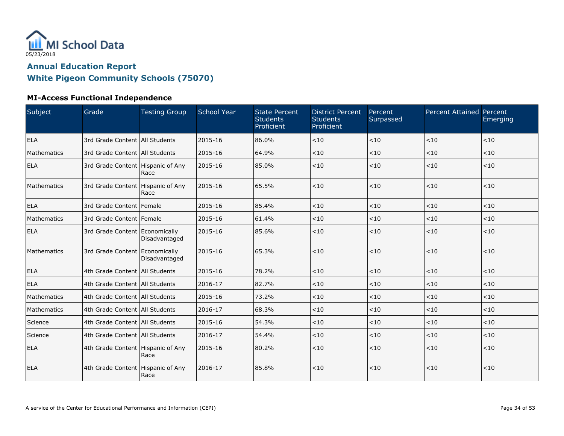

| Subject     | Grade                               | <b>Testing Group</b> | <b>School Year</b> | <b>State Percent</b><br><b>Students</b><br>Proficient | <b>District Percent</b><br><b>Students</b><br>Proficient | Percent<br>Surpassed | Percent Attained Percent | Emerging |
|-------------|-------------------------------------|----------------------|--------------------|-------------------------------------------------------|----------------------------------------------------------|----------------------|--------------------------|----------|
| <b>ELA</b>  | 3rd Grade Content   All Students    |                      | 2015-16            | 86.0%                                                 | < 10                                                     | < 10                 | < 10                     | < 10     |
| Mathematics | 3rd Grade Content   All Students    |                      | 2015-16            | 64.9%                                                 | < 10                                                     | < 10                 | < 10                     | $<10$    |
| <b>ELA</b>  | 3rd Grade Content Hispanic of Any   | Race                 | 2015-16            | 85.0%                                                 | < 10                                                     | < 10                 | < 10                     | < 10     |
| Mathematics | 3rd Grade Content   Hispanic of Any | Race                 | 2015-16            | 65.5%                                                 | < 10                                                     | < 10                 | < 10                     | < 10     |
| <b>ELA</b>  | 3rd Grade Content   Female          |                      | 2015-16            | 85.4%                                                 | < 10                                                     | < 10                 | < 10                     | < 10     |
| Mathematics | 3rd Grade Content Female            |                      | 2015-16            | 61.4%                                                 | < 10                                                     | < 10                 | < 10                     | < 10     |
| <b>ELA</b>  | 3rd Grade Content Economically      | Disadvantaged        | 2015-16            | 85.6%                                                 | < 10                                                     | < 10                 | < 10                     | < 10     |
| Mathematics | 3rd Grade Content Economically      | Disadvantaged        | 2015-16            | 65.3%                                                 | < 10                                                     | < 10                 | $<10$                    | < 10     |
| ELA         | 4th Grade Content   All Students    |                      | 2015-16            | 78.2%                                                 | < 10                                                     | < 10                 | < 10                     | < 10     |
| <b>ELA</b>  | 4th Grade Content All Students      |                      | 2016-17            | 82.7%                                                 | < 10                                                     | < 10                 | < 10                     | < 10     |
| Mathematics | 4th Grade Content   All Students    |                      | 2015-16            | 73.2%                                                 | < 10                                                     | < 10                 | < 10                     | < 10     |
| Mathematics | 4th Grade Content   All Students    |                      | 2016-17            | 68.3%                                                 | < 10                                                     | < 10                 | < 10                     | < 10     |
| Science     | 4th Grade Content   All Students    |                      | 2015-16            | 54.3%                                                 | < 10                                                     | < 10                 | < 10                     | < 10     |
| Science     | 4th Grade Content   All Students    |                      | 2016-17            | 54.4%                                                 | < 10                                                     | < 10                 | < 10                     | < 10     |
| ELA         | 4th Grade Content   Hispanic of Any | Race                 | 2015-16            | 80.2%                                                 | < 10                                                     | < 10                 | < 10                     | < 10     |
| <b>ELA</b>  | 4th Grade Content Hispanic of Any   | Race                 | 2016-17            | 85.8%                                                 | < 10                                                     | < 10                 | < 10                     | < 10     |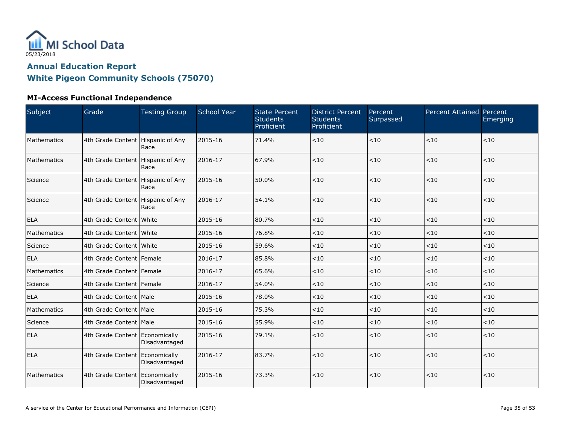

| Subject     | Grade                               | <b>Testing Group</b> | <b>School Year</b> | <b>State Percent</b><br><b>Students</b><br>Proficient | <b>District Percent</b><br><b>Students</b><br>Proficient | Percent<br>Surpassed | Percent Attained Percent | Emerging |
|-------------|-------------------------------------|----------------------|--------------------|-------------------------------------------------------|----------------------------------------------------------|----------------------|--------------------------|----------|
| Mathematics | 4th Grade Content   Hispanic of Any | Race                 | 2015-16            | 71.4%                                                 | < 10                                                     | $<10$                | < 10                     | < 10     |
| Mathematics | 4th Grade Content   Hispanic of Any | Race                 | 2016-17            | 67.9%                                                 | < 10                                                     | $<10$                | $<10$                    | $<10$    |
| Science     | 4th Grade Content   Hispanic of Any | Race                 | 2015-16            | 50.0%                                                 | < 10                                                     | < 10                 | $<10$                    | $<10$    |
| Science     | 4th Grade Content   Hispanic of Any | Race                 | 2016-17            | 54.1%                                                 | < 10                                                     | < 10                 | < 10                     | < 10     |
| <b>ELA</b>  | 4th Grade Content White             |                      | 2015-16            | 80.7%                                                 | < 10                                                     | < 10                 | < 10                     | < 10     |
| Mathematics | 4th Grade Content White             |                      | 2015-16            | 76.8%                                                 | $<10$                                                    | < 10                 | $<10$                    | $<10$    |
| Science     | 4th Grade Content White             |                      | 2015-16            | 59.6%                                                 | < 10                                                     | < 10                 | < 10                     | < 10     |
| ELA         | 4th Grade Content   Female          |                      | 2016-17            | 85.8%                                                 | < 10                                                     | < 10                 | < 10                     | < 10     |
| Mathematics | 4th Grade Content Female            |                      | 2016-17            | 65.6%                                                 | < 10                                                     | < 10                 | < 10                     | $<10$    |
| Science     | 4th Grade Content   Female          |                      | 2016-17            | 54.0%                                                 | < 10                                                     | < 10                 | < 10                     | < 10     |
| ELA         | 4th Grade Content   Male            |                      | 2015-16            | 78.0%                                                 | $<10$                                                    | $<10$                | $<10$                    | $<10$    |
| Mathematics | 4th Grade Content   Male            |                      | 2015-16            | 75.3%                                                 | < 10                                                     | < 10                 | < 10                     | < 10     |
| Science     | 4th Grade Content   Male            |                      | 2015-16            | 55.9%                                                 | < 10                                                     | $<10$                | < 10                     | < 10     |
| <b>ELA</b>  | 4th Grade Content Economically      | Disadvantaged        | 2015-16            | 79.1%                                                 | < 10                                                     | < 10                 | < 10                     | < 10     |
| <b>ELA</b>  | 4th Grade Content Economically      | Disadvantaged        | 2016-17            | 83.7%                                                 | < 10                                                     | < 10                 | < 10                     | < 10     |
| Mathematics | 4th Grade Content Economically      | Disadvantaged        | 2015-16            | 73.3%                                                 | $<10$                                                    | $<10$                | $<10$                    | $<10$    |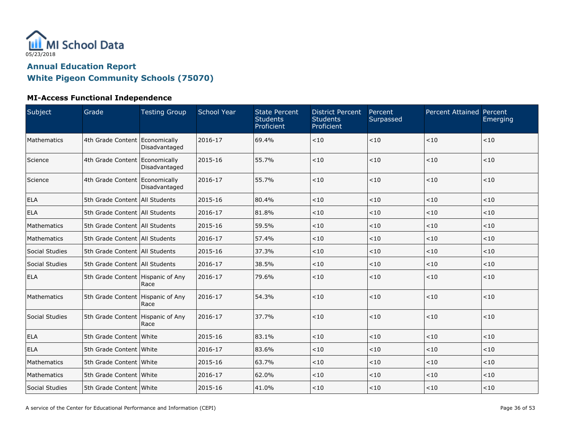

| Subject        | Grade                               | <b>Testing Group</b> | <b>School Year</b> | <b>State Percent</b><br><b>Students</b><br>Proficient | <b>District Percent</b><br><b>Students</b><br>Proficient | Percent<br>Surpassed | Percent Attained Percent | Emerging |
|----------------|-------------------------------------|----------------------|--------------------|-------------------------------------------------------|----------------------------------------------------------|----------------------|--------------------------|----------|
| Mathematics    | 4th Grade Content Economically      | Disadvantaged        | 2016-17            | 69.4%                                                 | < 10                                                     | ~10                  | $<10$                    | $<10$    |
| Science        | 4th Grade Content Economically      | Disadvantaged        | 2015-16            | 55.7%                                                 | < 10                                                     | < 10                 | < 10                     | < 10     |
| Science        | 4th Grade Content Economically      | Disadvantaged        | 2016-17            | 55.7%                                                 | < 10                                                     | < 10                 | < 10                     | < 10     |
| <b>ELA</b>     | 5th Grade Content All Students      |                      | 2015-16            | 80.4%                                                 | < 10                                                     | < 10                 | < 10                     | < 10     |
| <b>ELA</b>     | 5th Grade Content   All Students    |                      | 2016-17            | 81.8%                                                 | $<10$                                                    | $<10$                | $<10$                    | < 10     |
| Mathematics    | 5th Grade Content   All Students    |                      | 2015-16            | 59.5%                                                 | < 10                                                     | < 10                 | < 10                     | < 10     |
| Mathematics    | 5th Grade Content All Students      |                      | 2016-17            | 57.4%                                                 | < 10                                                     | $<10$                | $<10$                    | < 10     |
| Social Studies | 5th Grade Content   All Students    |                      | 2015-16            | 37.3%                                                 | $<10$                                                    | $<\!10$              | $<10$                    | $<\!10$  |
| Social Studies | 5th Grade Content   All Students    |                      | 2016-17            | 38.5%                                                 | < 10                                                     | < 10                 | < 10                     | < 10     |
| <b>ELA</b>     | 5th Grade Content   Hispanic of Any | Race                 | 2016-17            | 79.6%                                                 | < 10                                                     | < 10                 | < 10                     | < 10     |
| Mathematics    | 5th Grade Content   Hispanic of Any | Race                 | 2016-17            | 54.3%                                                 | < 10                                                     | < 10                 | $<10$                    | < 10     |
| Social Studies | 5th Grade Content Hispanic of Any   | Race                 | 2016-17            | 37.7%                                                 | < 10                                                     | < 10                 | < 10                     | < 10     |
| <b>ELA</b>     | 5th Grade Content White             |                      | 2015-16            | 83.1%                                                 | < 10                                                     | < 10                 | < 10                     | < 10     |
| <b>ELA</b>     | 5th Grade Content White             |                      | 2016-17            | 83.6%                                                 | < 10                                                     | < 10                 | < 10                     | < 10     |
| Mathematics    | 5th Grade Content   White           |                      | 2015-16            | 63.7%                                                 | < 10                                                     | $<10$                | $<10$                    | < 10     |
| Mathematics    | 5th Grade Content White             |                      | 2016-17            | 62.0%                                                 | < 10                                                     | < 10                 | < 10                     | $<10$    |
| Social Studies | 5th Grade Content   White           |                      | 2015-16            | 41.0%                                                 | < 10                                                     | <10                  | < 10                     | $<10$    |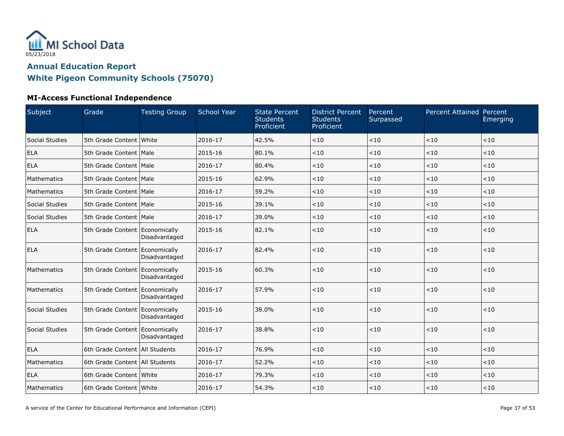

| Subject        | Grade                            | <b>Testing Group</b> | <b>School Year</b> | <b>State Percent</b><br><b>Students</b><br><b>Proficient</b> | <b>District Percent</b><br><b>Students</b><br>Proficient | Percent<br>Surpassed | Percent Attained Percent | Emerging |
|----------------|----------------------------------|----------------------|--------------------|--------------------------------------------------------------|----------------------------------------------------------|----------------------|--------------------------|----------|
| Social Studies | 5th Grade Content White          |                      | 2016-17            | 42.5%                                                        | < 10                                                     | ~10                  | < 10                     | $<10$    |
| <b>ELA</b>     | 5th Grade Content   Male         |                      | 2015-16            | 80.1%                                                        | < 10                                                     | < 10                 | < 10                     | < 10     |
| <b>ELA</b>     | 5th Grade Content   Male         |                      | 2016-17            | 80.4%                                                        | < 10                                                     | < 10                 | < 10                     | < 10     |
| Mathematics    | 5th Grade Content Male           |                      | 2015-16            | 62.9%                                                        | < 10                                                     | < 10                 | < 10                     | < 10     |
| Mathematics    | 5th Grade Content   Male         |                      | 2016-17            | 59.2%                                                        | < 10                                                     | < 10                 | $<10$                    | $<10$    |
| Social Studies | 5th Grade Content   Male         |                      | 2015-16            | 39.1%                                                        | < 10                                                     | < 10                 | < 10                     | < 10     |
| Social Studies | 5th Grade Content   Male         |                      | 2016-17            | 39.0%                                                        | < 10                                                     | < 10                 | < 10                     | < 10     |
| <b>ELA</b>     | 5th Grade Content Economically   | Disadvantaged        | 2015-16            | 82.1%                                                        | < 10                                                     | < 10                 | < 10                     | $<10$    |
| <b>ELA</b>     | 5th Grade Content Economically   | Disadvantaged        | 2016-17            | 82.4%                                                        | < 10                                                     | < 10                 | < 10                     | < 10     |
| Mathematics    | 5th Grade Content Economically   | Disadvantaged        | 2015-16            | 60.3%                                                        | < 10                                                     | $<10$                | < 10                     | < 10     |
| Mathematics    | 5th Grade Content Economically   | Disadvantaged        | 2016-17            | 57.9%                                                        | < 10                                                     | < 10                 | $<10$                    | $<10$    |
| Social Studies | 5th Grade Content Economically   | Disadvantaged        | 2015-16            | 38.0%                                                        | < 10                                                     | < 10                 | < 10                     | < 10     |
| Social Studies | 5th Grade Content Economically   | Disadvantaged        | 2016-17            | 38.8%                                                        | < 10                                                     | < 10                 | < 10                     | < 10     |
| <b>ELA</b>     | 6th Grade Content All Students   |                      | 2016-17            | 76.9%                                                        | < 10                                                     | < 10                 | $<10$                    | < 10     |
| Mathematics    | 6th Grade Content   All Students |                      | 2016-17            | 52.2%                                                        | < 10                                                     | $<10$                | $<10$                    | < 10     |
| <b>ELA</b>     | 6th Grade Content White          |                      | 2016-17            | 79.3%                                                        | < 10                                                     | < 10                 | < 10                     | $<10$    |
| Mathematics    | 6th Grade Content White          |                      | 2016-17            | 54.3%                                                        | < 10                                                     | < 10                 | < 10                     | $<10$    |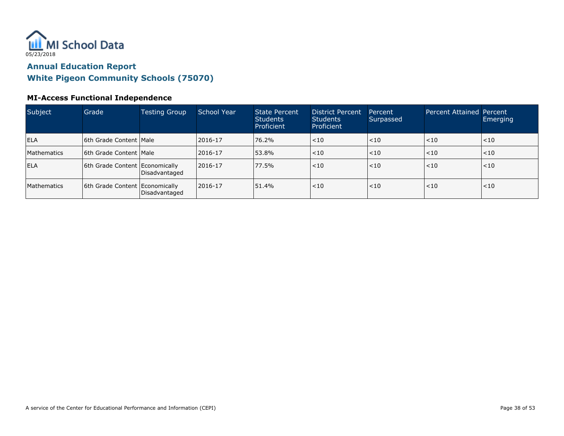

| Subject            | Grade                          | <b>Testing Group</b> | School Year  | <b>State Percent</b><br><b>Students</b><br>Proficient | <b>District Percent</b><br><b>Students</b><br>Proficient | Percent<br>Surpassed | <b>Percent Attained Percent</b> | Emerging |
|--------------------|--------------------------------|----------------------|--------------|-------------------------------------------------------|----------------------------------------------------------|----------------------|---------------------------------|----------|
| <b>ELA</b>         | 16th Grade Content   Male      |                      | 2016-17      | 76.2%                                                 | $ $ $<$ 10                                               | $ $ < 10             | $\leq 10$                       | $ $ < 10 |
| <b>Mathematics</b> | 16th Grade Content   Male      |                      | 2016-17      | 53.8%                                                 | < 10                                                     | $ $ < 10             | $\leq 10$                       | $ $ < 10 |
| <b>ELA</b>         | 6th Grade Content Economically | Disadvantaged        | $12016 - 17$ | 77.5%                                                 | < 10                                                     | < 10                 | < 10                            | < 10     |
| <b>Mathematics</b> | 6th Grade Content Economically | Disadvantaged        | $12016 - 17$ | 51.4%                                                 | $<$ 10                                                   | $ $ < 10             | < 10                            | ~10      |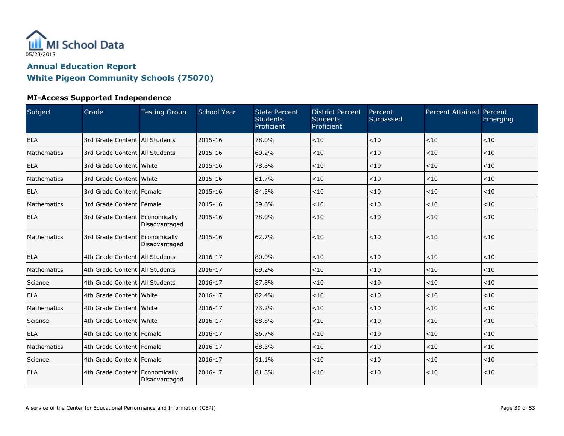

#### **MI-Access Supported Independence**

| Subject     | Grade                            | <b>Testing Group</b> | School Year | <b>State Percent</b><br><b>Students</b><br>Proficient | <b>District Percent</b><br><b>Students</b><br>Proficient | Percent<br>Surpassed | <b>Percent Attained Percent</b> | Emerging |
|-------------|----------------------------------|----------------------|-------------|-------------------------------------------------------|----------------------------------------------------------|----------------------|---------------------------------|----------|
| ELA         | 3rd Grade Content   All Students |                      | 2015-16     | 78.0%                                                 | < 10                                                     | < 10                 | < 10                            | < 10     |
| Mathematics | 3rd Grade Content All Students   |                      | 2015-16     | 60.2%                                                 | < 10                                                     | < 10                 | < 10                            | < 10     |
| <b>ELA</b>  | 3rd Grade Content White          |                      | 2015-16     | 78.8%                                                 | < 10                                                     | < 10                 | < 10                            | < 10     |
| Mathematics | 3rd Grade Content   White        |                      | 2015-16     | 61.7%                                                 | < 10                                                     | < 10                 | < 10                            | < 10     |
| <b>ELA</b>  | 3rd Grade Content Female         |                      | 2015-16     | 84.3%                                                 | < 10                                                     | < 10                 | < 10                            | < 10     |
| Mathematics | 3rd Grade Content Female         |                      | 2015-16     | 59.6%                                                 | < 10                                                     | < 10                 | $<$ 10                          | < 10     |
| <b>ELA</b>  | 3rd Grade Content Economically   | Disadvantaged        | 2015-16     | 78.0%                                                 | < 10                                                     | < 10                 | $<10$                           | < 10     |
| Mathematics | 3rd Grade Content Economically   | Disadvantaged        | 2015-16     | 62.7%                                                 | < 10                                                     | < 10                 | < 10                            | < 10     |
| <b>ELA</b>  | 4th Grade Content All Students   |                      | 2016-17     | 80.0%                                                 | < 10                                                     | < 10                 | $<10$                           | < 10     |
| Mathematics | 4th Grade Content   All Students |                      | 2016-17     | 69.2%                                                 | < 10                                                     | < 10                 | < 10                            | $<10$    |
| Science     | 4th Grade Content All Students   |                      | 2016-17     | 87.8%                                                 | < 10                                                     | < 10                 | < 10                            | < 10     |
| <b>ELA</b>  | 4th Grade Content White          |                      | 2016-17     | 82.4%                                                 | < 10                                                     | < 10                 | $<10$                           | < 10     |
| Mathematics | 4th Grade Content White          |                      | 2016-17     | 73.2%                                                 | < 10                                                     | < 10                 | < 10                            | < 10     |
| Science     | 4th Grade Content White          |                      | 2016-17     | 88.8%                                                 | $<10$                                                    | < 10                 | < 10                            | < 10     |
| ELA         | 4th Grade Content Female         |                      | 2016-17     | 86.7%                                                 | < 10                                                     | < 10                 | < 10                            | < 10     |
| Mathematics | 4th Grade Content   Female       |                      | 2016-17     | 68.3%                                                 | < 10                                                     | < 10                 | < 10                            | < 10     |
| Science     | 4th Grade Content Female         |                      | 2016-17     | 91.1%                                                 | < 10                                                     | < 10                 | < 10                            | < 10     |
| <b>ELA</b>  | 4th Grade Content Economically   | Disadvantaged        | 2016-17     | 81.8%                                                 | < 10                                                     | < 10                 | < 10                            | < 10     |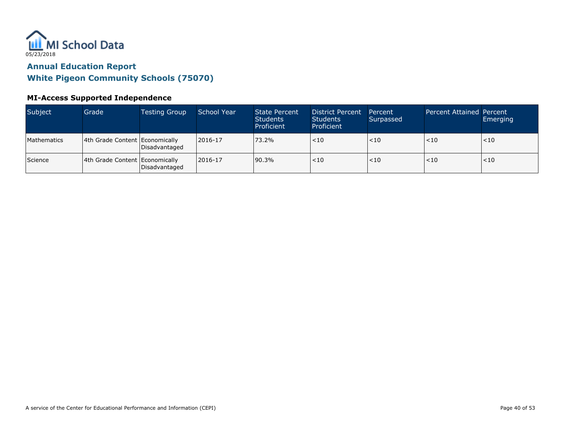

#### **MI-Access Supported Independence**

| Subject        | Grade                            | <b>Testing Group</b> | School Year | <b>State Percent</b><br><b>Students</b><br>Proficient | <b>District Percent</b><br><b>Students</b><br>Proficient | Percent<br>Surpassed | <b>Percent Attained Percent</b> | Emerging |
|----------------|----------------------------------|----------------------|-------------|-------------------------------------------------------|----------------------------------------------------------|----------------------|---------------------------------|----------|
| Mathematics    | 4th Grade Content   Economically | Disadvantaged        | 2016-17     | 73.2%                                                 | $<$ 10                                                   | < 10                 | < 10                            | < 10     |
| <b>Science</b> | 4th Grade Content Economically   | Disadvantaged        | 2016-17     | 90.3%                                                 | $\leq 10$                                                | ~10                  | < 10                            | ~10      |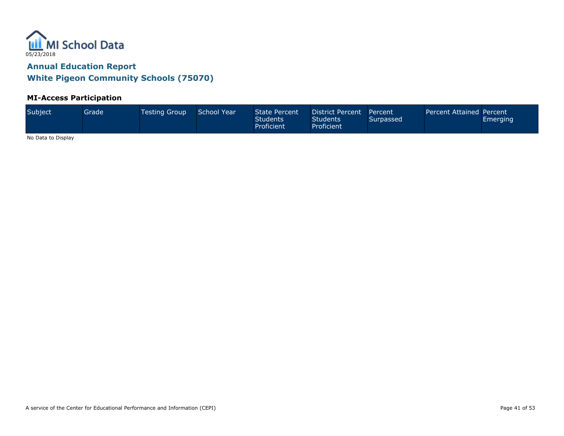

#### **MI-Access Participation**

| Subject<br>School Year<br><b>Testing Group</b><br>Grade' | State Percent<br><b>Students</b><br>Proficient | District Percent Percent<br>Students'<br>Proficient | Surpassed | Percent Attained Percent | <b>Emerging</b> |
|----------------------------------------------------------|------------------------------------------------|-----------------------------------------------------|-----------|--------------------------|-----------------|
|----------------------------------------------------------|------------------------------------------------|-----------------------------------------------------|-----------|--------------------------|-----------------|

No Data to Display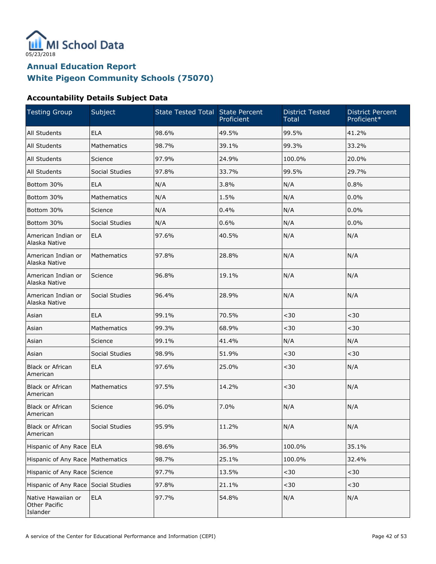

### **White Pigeon Community Schools (75070)**

#### **Accountability Details Subject Data**

| <b>Testing Group</b>                                   | Subject        | State Tested Total State Percent | Proficient | <b>District Tested</b><br><b>Total</b> | <b>District Percent</b><br>Proficient* |
|--------------------------------------------------------|----------------|----------------------------------|------------|----------------------------------------|----------------------------------------|
| All Students                                           | <b>ELA</b>     | 98.6%                            | 49.5%      | 99.5%                                  | 41.2%                                  |
| All Students                                           | Mathematics    | 98.7%                            | 39.1%      | 99.3%                                  | 33.2%                                  |
| All Students                                           | Science        | 97.9%                            | 24.9%      | 100.0%                                 | 20.0%                                  |
| All Students                                           | Social Studies | 97.8%                            | 33.7%      | 99.5%                                  | 29.7%                                  |
| Bottom 30%                                             | <b>ELA</b>     | N/A                              | 3.8%       | N/A                                    | 0.8%                                   |
| Bottom 30%                                             | Mathematics    | N/A                              | 1.5%       | N/A                                    | 0.0%                                   |
| Bottom 30%                                             | Science        | N/A                              | 0.4%       | N/A                                    | 0.0%                                   |
| Bottom 30%                                             | Social Studies | N/A                              | 0.6%       | N/A                                    | 0.0%                                   |
| American Indian or<br>Alaska Native                    | <b>ELA</b>     | 97.6%                            | 40.5%      | N/A                                    | N/A                                    |
| American Indian or<br>Alaska Native                    | Mathematics    | 97.8%                            | 28.8%      | N/A                                    | N/A                                    |
| American Indian or<br>Alaska Native                    | Science        | 96.8%                            | 19.1%      | N/A                                    | N/A                                    |
| American Indian or<br>Alaska Native                    | Social Studies | 96.4%                            | 28.9%      | N/A                                    | N/A                                    |
| Asian                                                  | <b>ELA</b>     | 99.1%                            | 70.5%      | $30$                                   | $30$                                   |
| Asian                                                  | Mathematics    | 99.3%                            | 68.9%      | $30$                                   | $30$                                   |
| Asian                                                  | Science        | 99.1%                            | 41.4%      | N/A                                    | N/A                                    |
| Asian                                                  | Social Studies | 98.9%                            | 51.9%      | $30$                                   | $30$                                   |
| <b>Black or African</b><br>American                    | <b>ELA</b>     | 97.6%                            | 25.0%      | $30$                                   | N/A                                    |
| <b>Black or African</b><br>American                    | Mathematics    | 97.5%                            | 14.2%      | $30$                                   | N/A                                    |
| <b>Black or African</b><br>American                    | Science        | 96.0%                            | 7.0%       | N/A                                    | N/A                                    |
| Black or African<br>American                           | Social Studies | 95.9%                            | 11.2%      | N/A                                    | N/A                                    |
| Hispanic of Any Race ELA                               |                | 98.6%                            | 36.9%      | 100.0%                                 | 35.1%                                  |
| Hispanic of Any Race                                   | Mathematics    | 98.7%                            | 25.1%      | 100.0%                                 | 32.4%                                  |
| Hispanic of Any Race                                   | Science        | 97.7%                            | 13.5%      | $30$                                   | $30$                                   |
| Hispanic of Any Race                                   | Social Studies | 97.8%                            | 21.1%      | $30$                                   | $30$                                   |
| Native Hawaiian or<br><b>Other Pacific</b><br>Islander | <b>ELA</b>     | 97.7%                            | 54.8%      | N/A                                    | N/A                                    |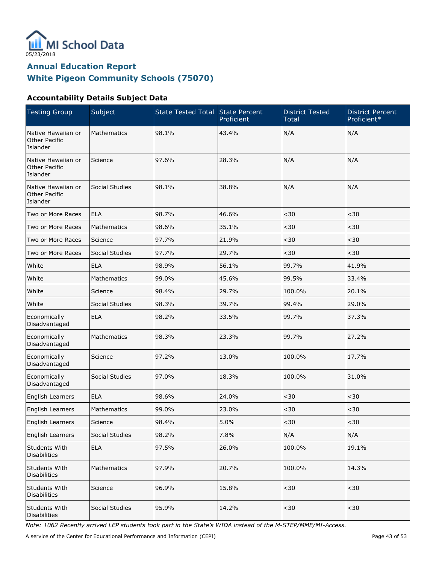

### **White Pigeon Community Schools (75070)**

#### **Accountability Details Subject Data**

| <b>Testing Group</b>                                   | Subject            | <b>State Tested Total State Percent</b> | Proficient | <b>District Tested</b><br><b>Total</b> | <b>District Percent</b><br>Proficient* |
|--------------------------------------------------------|--------------------|-----------------------------------------|------------|----------------------------------------|----------------------------------------|
| Native Hawaiian or<br><b>Other Pacific</b><br>Islander | <b>Mathematics</b> | 98.1%                                   | 43.4%      | N/A                                    | N/A                                    |
| Native Hawaiian or<br>Other Pacific<br>Islander        | Science            | 97.6%                                   | 28.3%      | N/A                                    | N/A                                    |
| Native Hawaiian or<br>Other Pacific<br>Islander        | Social Studies     | 98.1%                                   | 38.8%      | N/A                                    | N/A                                    |
| Two or More Races                                      | <b>ELA</b>         | 98.7%                                   | 46.6%      | $30$                                   | $30$                                   |
| Two or More Races                                      | <b>Mathematics</b> | 98.6%                                   | 35.1%      | $30$                                   | $30$                                   |
| Two or More Races                                      | Science            | 97.7%                                   | 21.9%      | $30$                                   | $30$                                   |
| Two or More Races                                      | Social Studies     | 97.7%                                   | 29.7%      | $30$                                   | $30$                                   |
| White                                                  | <b>ELA</b>         | 98.9%                                   | 56.1%      | 99.7%                                  | 41.9%                                  |
| White                                                  | <b>Mathematics</b> | 99.0%                                   | 45.6%      | 99.5%                                  | 33.4%                                  |
| White                                                  | Science            | 98.4%                                   | 29.7%      | 100.0%                                 | 20.1%                                  |
| White                                                  | Social Studies     | 98.3%                                   | 39.7%      | 99.4%                                  | 29.0%                                  |
| Economically<br>Disadvantaged                          | <b>ELA</b>         | 98.2%                                   | 33.5%      | 99.7%                                  | 37.3%                                  |
| Economically<br>Disadvantaged                          | <b>Mathematics</b> | 98.3%                                   | 23.3%      | 99.7%                                  | 27.2%                                  |
| Economically<br>Disadvantaged                          | Science            | 97.2%                                   | 13.0%      | 100.0%                                 | 17.7%                                  |
| Economically<br>Disadvantaged                          | Social Studies     | 97.0%                                   | 18.3%      | 100.0%                                 | 31.0%                                  |
| English Learners                                       | <b>ELA</b>         | 98.6%                                   | 24.0%      | $30$                                   | $30$                                   |
| English Learners                                       | <b>Mathematics</b> | 99.0%                                   | 23.0%      | $30$                                   | $30$                                   |
| English Learners                                       | Science            | 98.4%                                   | 5.0%       | $<$ 30 $\,$                            | $30$                                   |
| <b>English Learners</b>                                | Social Studies     | 98.2%                                   | 7.8%       | N/A                                    | N/A                                    |
| Students With<br><b>Disabilities</b>                   | <b>ELA</b>         | 97.5%                                   | 26.0%      | 100.0%                                 | 19.1%                                  |
| Students With<br><b>Disabilities</b>                   | Mathematics        | 97.9%                                   | 20.7%      | 100.0%                                 | 14.3%                                  |
| Students With<br><b>Disabilities</b>                   | Science            | 96.9%                                   | 15.8%      | $<$ 30 $\,$                            | $30$                                   |
| Students With<br><b>Disabilities</b>                   | Social Studies     | 95.9%                                   | 14.2%      | $30$                                   | $30$                                   |

Note: 1062 Recently arrived LEP students took part in the State's WIDA instead of the M-STEP/MME/MI-Access.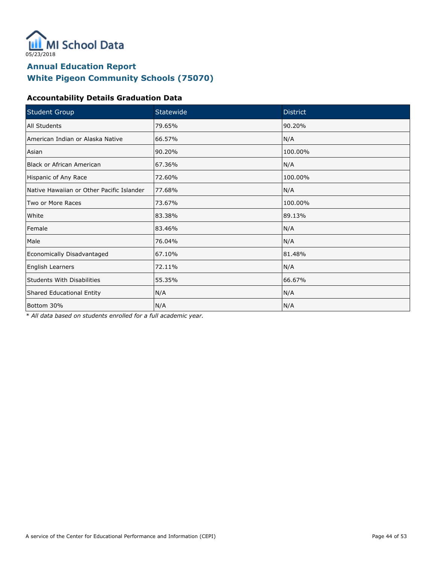

### **White Pigeon Community Schools (75070)**

#### **Accountability Details Graduation Data**

| <b>Student Group</b>                      | Statewide | <b>District</b> |
|-------------------------------------------|-----------|-----------------|
| All Students                              | 79.65%    | 90.20%          |
| American Indian or Alaska Native          | 66.57%    | N/A             |
| Asian                                     | 90.20%    | 100.00%         |
| <b>Black or African American</b>          | 67.36%    | N/A             |
| Hispanic of Any Race                      | 72.60%    | 100.00%         |
| Native Hawaiian or Other Pacific Islander | 77.68%    | N/A             |
| Two or More Races                         | 73.67%    | 100.00%         |
| White                                     | 83.38%    | 89.13%          |
| Female                                    | 83.46%    | N/A             |
| Male                                      | 76.04%    | N/A             |
| Economically Disadvantaged                | 67.10%    | 81.48%          |
| English Learners                          | 72.11%    | N/A             |
| <b>Students With Disabilities</b>         | 55.35%    | 66.67%          |
| Shared Educational Entity                 | N/A       | N/A             |
| Bottom 30%                                | N/A       | N/A             |

\* All data based on students enrolled for a full academic year.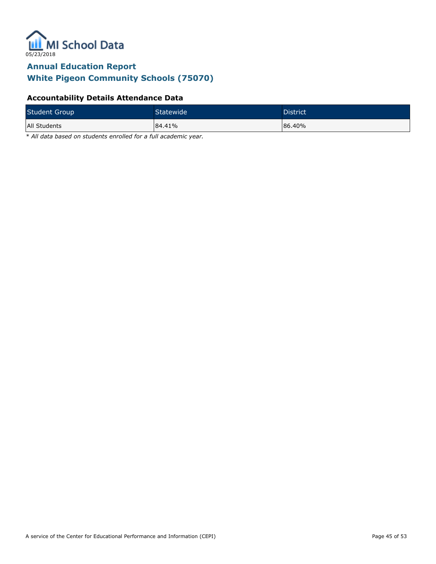

### **White Pigeon Community Schools (75070)**

#### **Accountability Details Attendance Data**

| <b>Student Group</b> | Statewide <sup>1</sup> | District |
|----------------------|------------------------|----------|
| All Students         | 84.41%                 | 86.40%   |

\* All data based on students enrolled for a full academic year.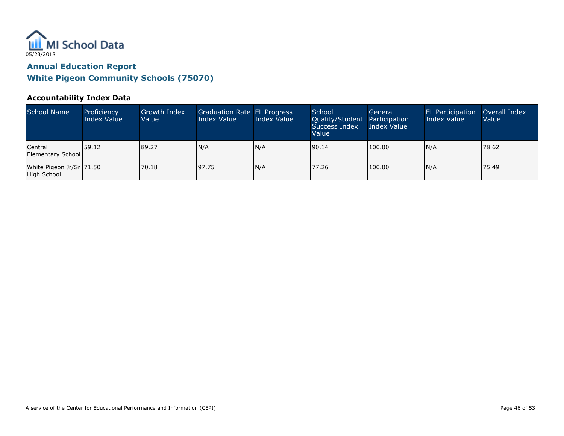

#### **Accountability Index Data**

| School Name                               | Proficiency<br>Index Value | Growth Index<br>Value | Graduation Rate EL Progress<br>Index Value | Index Value | School<br>Quality/Student Participation<br>Success Index<br>Value | General<br>Index Value | <b>EL Participation</b><br>Index Value | Overall Index<br>Value |
|-------------------------------------------|----------------------------|-----------------------|--------------------------------------------|-------------|-------------------------------------------------------------------|------------------------|----------------------------------------|------------------------|
| Central<br>Elementary School              | 159.12                     | 89.27                 | N/A                                        | N/A         | 90.14                                                             | 100.00                 | N/A                                    | 78.62                  |
| White Pigeon Jr/Sr   71.50<br>High School |                            | 70.18                 | 197.75                                     | N/A         | 77.26                                                             | 100.00                 | N/A                                    | 75.49                  |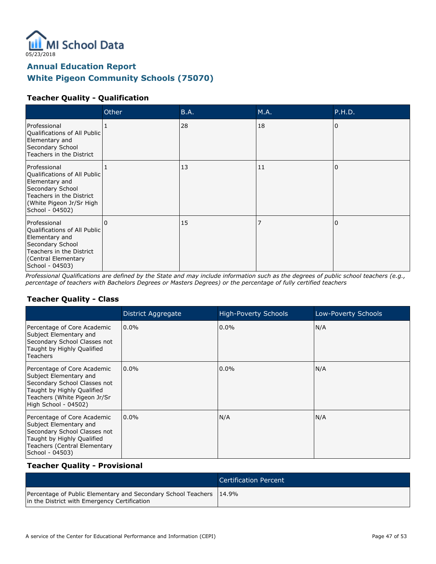

### **White Pigeon Community Schools (75070)**

#### **Teacher Quality - Qualification**

|                                                                                                                                                               | Other        | B.A. | M.A. | P.H.D.   |
|---------------------------------------------------------------------------------------------------------------------------------------------------------------|--------------|------|------|----------|
| Professional<br>Qualifications of All Public<br>Elementary and<br>Secondary School<br>Teachers in the District                                                |              | 28   | 18   | $\Omega$ |
| Professional<br>Qualifications of All Public<br>Elementary and<br>Secondary School<br>Teachers in the District<br>(White Pigeon Jr/Sr High<br>School - 04502) |              | 13   | 11   | $\Omega$ |
| Professional<br>Qualifications of All Public<br>Elementary and<br>Secondary School<br>Teachers in the District<br>Central Elementary)<br>School - 04503)      | <sup>0</sup> | 15   |      | $\Omega$ |

Professional Qualifications are defined by the State and may include information such as the degrees of public school teachers (e.g., percentage of teachers with Bachelors Degrees or Masters Degrees) or the percentage of fully certified teachers

#### **Teacher Quality - Class**

|                                                                                                                                                                             | District Aggregate | High-Poverty Schools | Low-Poverty Schools |
|-----------------------------------------------------------------------------------------------------------------------------------------------------------------------------|--------------------|----------------------|---------------------|
| Percentage of Core Academic<br>Subject Elementary and<br>Secondary School Classes not<br>Taught by Highly Qualified<br><b>Teachers</b>                                      | $0.0\%$            | $0.0\%$              | N/A                 |
| Percentage of Core Academic<br>Subject Elementary and<br>Secondary School Classes not<br>Taught by Highly Qualified<br>Teachers (White Pigeon Jr/Sr<br>High School - 04502) | $0.0\%$            | $0.0\%$              | N/A                 |
| Percentage of Core Academic<br>Subject Elementary and<br>Secondary School Classes not<br>Taught by Highly Qualified<br>Teachers (Central Elementary<br>School - 04503)      | $0.0\%$            | N/A                  | N/A                 |

#### **Teacher Quality - Provisional**

|                                                                                                                     | Certification Percent |
|---------------------------------------------------------------------------------------------------------------------|-----------------------|
| Percentage of Public Elementary and Secondary School Teachers 14.9%<br>in the District with Emergency Certification |                       |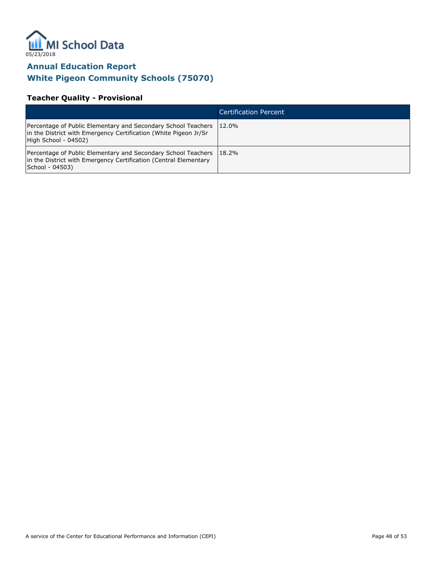

### **White Pigeon Community Schools (75070)**

#### **Teacher Quality - Provisional**

|                                                                                                                                                                   | Certification Percent |
|-------------------------------------------------------------------------------------------------------------------------------------------------------------------|-----------------------|
| Percentage of Public Elementary and Secondary School Teachers<br>in the District with Emergency Certification (White Pigeon Jr/Sr<br>High School - 04502)         | 12.0%                 |
| <b>Percentage of Public Elementary and Secondary School Teachers 18.2%</b><br>in the District with Emergency Certification (Central Elementary<br>School - 04503) |                       |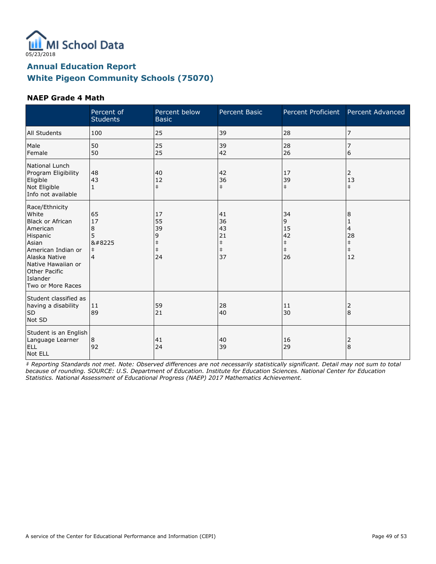

#### **NAEP Grade 4 Math**

|                                                                                                                                                                                                    | Percent of<br><b>Students</b>                                | Percent below<br><b>Basic</b>                         | Percent Basic                                          | Percent Proficient                                    | Percent Advanced                                    |
|----------------------------------------------------------------------------------------------------------------------------------------------------------------------------------------------------|--------------------------------------------------------------|-------------------------------------------------------|--------------------------------------------------------|-------------------------------------------------------|-----------------------------------------------------|
| All Students                                                                                                                                                                                       | 100                                                          | 25                                                    | 39                                                     | 28                                                    | 7                                                   |
| Male<br>Female                                                                                                                                                                                     | 50<br>50                                                     | 25<br>25                                              | 39<br>42                                               | 28<br>26                                              | 7<br>6                                              |
| National Lunch<br>Program Eligibility<br>Eligible<br>Not Eligible<br>Info not available                                                                                                            | 48<br>43<br>$\mathbf{1}$                                     | 40<br>12<br>$\ddagger$                                | 42<br>36<br>$\ddagger$                                 | 17<br>39<br>$\ddagger$                                | 2<br>13<br>$\ddagger$                               |
| Race/Ethnicity<br>White<br><b>Black or African</b><br>American<br>Hispanic<br>Asian<br>American Indian or<br>Alaska Native<br>Native Hawaiian or<br>Other Pacific<br>Islander<br>Two or More Races | 65<br>17<br>8<br>5<br>8#8225<br>$\ddagger$<br>$\overline{4}$ | 17<br>55<br>39<br>9<br>$\ddagger$<br>$\ddagger$<br>24 | 41<br>36<br>43<br>21<br>$\ddagger$<br>$\ddagger$<br>37 | 34<br>9<br>15<br>42<br>$\ddagger$<br>$\ddagger$<br>26 | 8<br>1<br>4<br>28<br>$\ddagger$<br>$\ddagger$<br>12 |
| Student classified as<br>having a disability<br><b>SD</b><br>Not SD                                                                                                                                | 11<br>89                                                     | 59<br>21                                              | 28<br>40                                               | 11<br>30                                              | 2<br>8                                              |
| Student is an English<br>Language Learner<br>ELL<br>Not ELL                                                                                                                                        | 8<br>92                                                      | 41<br>24                                              | 40<br>39                                               | 16<br>29                                              | 2<br>8                                              |

‡ Reporting Standards not met. Note: Observed differences are not necessarily statistically significant. Detail may not sum to total because of rounding. SOURCE: U.S. Department of Education. Institute for Education Sciences. National Center for Education Statistics. National Assessment of Educational Progress (NAEP) 2017 Mathematics Achievement.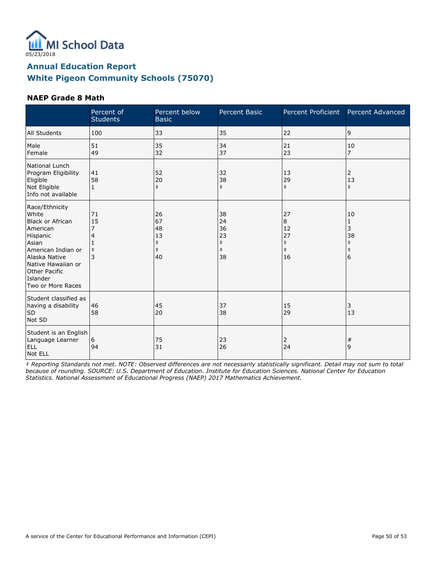

#### **NAEP Grade 8 Math**

|                                                                                                                                                                                                           | Percent of<br><b>Students</b> | Percent below<br><b>Basic</b>                          | Percent Basic                                          | Percent Proficient                                    | Percent Advanced                                               |
|-----------------------------------------------------------------------------------------------------------------------------------------------------------------------------------------------------------|-------------------------------|--------------------------------------------------------|--------------------------------------------------------|-------------------------------------------------------|----------------------------------------------------------------|
| All Students                                                                                                                                                                                              | 100                           | 33                                                     | 35                                                     | 22                                                    | 9                                                              |
| Male<br>Female                                                                                                                                                                                            | 51<br>49                      | 35<br>32                                               | 34<br>37                                               | 21<br>23                                              | 10<br>$\overline{7}$                                           |
| National Lunch<br>Program Eligibility<br>Eligible<br>Not Eligible<br>Info not available                                                                                                                   | 41<br>58                      | 52<br>20<br>$\ddagger$                                 | 32<br>38<br>$\ddagger$                                 | 13<br>29<br>$\ddagger$                                | 2<br>13<br>$\pm$                                               |
| Race/Ethnicity<br>White<br><b>Black or African</b><br>American<br>Hispanic<br>Asian<br>American Indian or<br>Alaska Native<br>Native Hawaiian or<br><b>Other Pacific</b><br>Islander<br>Two or More Races | 71<br>15<br>$\ddagger$        | 26<br>67<br>48<br>13<br>$\ddagger$<br>$\ddagger$<br>40 | 38<br>24<br>36<br>23<br>$\ddagger$<br>$\ddagger$<br>38 | 27<br>8<br>12<br>27<br>$\ddagger$<br>$\ddagger$<br>16 | 10<br>$\mathbf{1}$<br>3<br>38<br>$\ddagger$<br>$\ddagger$<br>6 |
| Student classified as<br>having a disability<br><b>SD</b><br>Not SD                                                                                                                                       | 46<br>58                      | 45<br>20                                               | 37<br>38                                               | 15<br>29                                              | 3<br>13                                                        |
| Student is an English<br>Language Learner<br><b>ELL</b><br>Not ELL                                                                                                                                        | 6<br>94                       | 75<br>31                                               | 23<br>26                                               | 2<br>24                                               | $\#$<br>9                                                      |

‡ Reporting Standards not met. NOTE: Observed differences are not necessarily statistically significant. Detail may not sum to total because of rounding. SOURCE: U.S. Department of Education. Institute for Education Sciences. National Center for Education Statistics. National Assessment of Educational Progress (NAEP) 2017 Mathematics Achievement.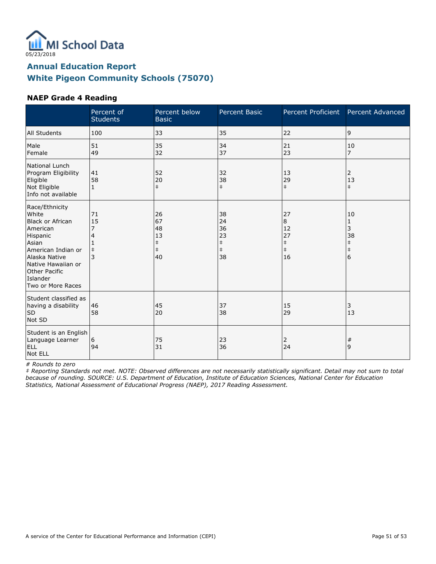

#### **NAEP Grade 4 Reading**

|                                                                                                                                                                                                    | Percent of<br><b>Students</b>    | Percent below<br><b>Basic</b>                          | <b>Percent Basic</b>                                   | Percent Proficient                                    | Percent Advanced                                    |
|----------------------------------------------------------------------------------------------------------------------------------------------------------------------------------------------------|----------------------------------|--------------------------------------------------------|--------------------------------------------------------|-------------------------------------------------------|-----------------------------------------------------|
| <b>All Students</b>                                                                                                                                                                                | 100                              | 33                                                     | 35                                                     | 22                                                    | 9                                                   |
| Male<br>Female                                                                                                                                                                                     | 51<br>49                         | 35<br>32                                               | 34<br>37                                               | 21<br>23                                              | 10<br>$\overline{7}$                                |
| National Lunch<br>Program Eligibility<br>Eligible<br>Not Eligible<br>Info not available                                                                                                            | 41<br>58<br>$\mathbf{1}$         | 52<br>20<br>$\ddagger$                                 | 32<br>38<br>$\ddagger$                                 | 13<br>29<br>$\ddagger$                                | 2<br>13<br>$\ddagger$                               |
| Race/Ethnicity<br>White<br><b>Black or African</b><br>American<br>Hispanic<br>Asian<br>American Indian or<br>Alaska Native<br>Native Hawaiian or<br>Other Pacific<br>Islander<br>Two or More Races | 71<br>15<br>4<br>$\ddagger$<br>3 | 26<br>67<br>48<br>13<br>$\ddagger$<br>$\ddagger$<br>40 | 38<br>24<br>36<br>23<br>$\ddagger$<br>$\ddagger$<br>38 | 27<br>8<br>12<br>27<br>$\ddagger$<br>$\ddagger$<br>16 | 10<br>1<br>3<br>38<br>$\ddagger$<br>$\ddagger$<br>6 |
| Student classified as<br>having a disability<br><b>SD</b><br>Not SD                                                                                                                                | 46<br>58                         | 45<br>20                                               | 37<br>38                                               | 15<br>29                                              | 3<br>13                                             |
| Student is an English<br>Language Learner<br>ELL<br>Not ELL                                                                                                                                        | 6<br>94                          | 75<br>31                                               | 23<br>36                                               | 2<br>24                                               | #<br>9                                              |

# Rounds to zero

‡ Reporting Standards not met. NOTE: Observed differences are not necessarily statistically significant. Detail may not sum to total because of rounding. SOURCE: U.S. Department of Education, Institute of Education Sciences, National Center for Education Statistics, National Assessment of Educational Progress (NAEP), 2017 Reading Assessment.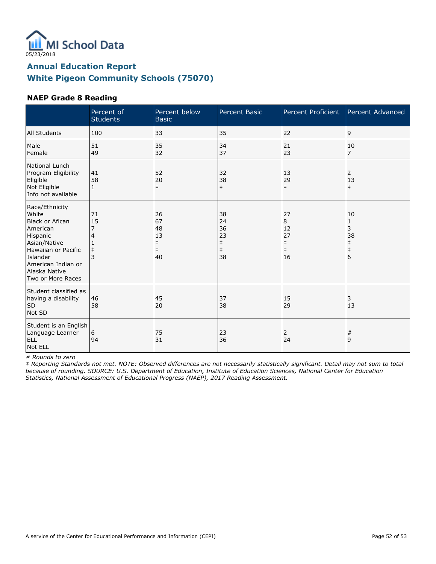

#### **NAEP Grade 8 Reading**

|                                                                                                                                                                                          | Percent of<br><b>Students</b> | Percent below<br><b>Basic</b>                          | <b>Percent Basic</b>                                   | Percent Proficient                                    | Percent Advanced                                    |
|------------------------------------------------------------------------------------------------------------------------------------------------------------------------------------------|-------------------------------|--------------------------------------------------------|--------------------------------------------------------|-------------------------------------------------------|-----------------------------------------------------|
| <b>All Students</b>                                                                                                                                                                      | 100                           | 33                                                     | 35                                                     | 22                                                    | 9                                                   |
| Male<br>Female                                                                                                                                                                           | 51<br>49                      | 35<br>32                                               | 34<br>37                                               | 21<br>23                                              | 10<br>$\overline{7}$                                |
| National Lunch<br>Program Eligibility<br>Eligible<br>Not Eligible<br>Info not available                                                                                                  | 41<br>58<br>$\mathbf{1}$      | 52<br>20<br>$\ddagger$                                 | 32<br>38<br>$\ddagger$                                 | 13<br>29<br>$\ddagger$                                | 2<br>13<br>$\ddagger$                               |
| Race/Ethnicity<br>White<br><b>Black or Afican</b><br>American<br>Hispanic<br>Asian/Native<br>Hawaiian or Pacific<br>Islander<br>American Indian or<br>Alaska Native<br>Two or More Races | 71<br>15<br>$\ddagger$<br>3   | 26<br>67<br>48<br>13<br>$\ddagger$<br>$\ddagger$<br>40 | 38<br>24<br>36<br>23<br>$\ddagger$<br>$\ddagger$<br>38 | 27<br>8<br>12<br>27<br>$\ddagger$<br>$\ddagger$<br>16 | 10<br>1<br>3<br>38<br>$\ddagger$<br>$\ddagger$<br>6 |
| Student classified as<br>having a disability<br><b>SD</b><br>Not SD                                                                                                                      | 46<br>58                      | 45<br>20                                               | 37<br>38                                               | 15<br>29                                              | 3<br>13                                             |
| Student is an English<br>Language Learner<br><b>ELL</b><br>Not ELL                                                                                                                       | 6<br>94                       | 75<br>31                                               | 23<br>36                                               | 2<br>24                                               | #<br>9                                              |

# Rounds to zero

‡ Reporting Standards not met. NOTE: Observed differences are not necessarily statistically significant. Detail may not sum to total because of rounding. SOURCE: U.S. Department of Education, Institute of Education Sciences, National Center for Education Statistics, National Assessment of Educational Progress (NAEP), 2017 Reading Assessment.